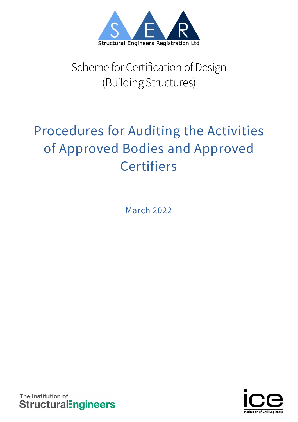

# Scheme for Certification of Design (Building Structures)

# Procedures for Auditing the Activities of Approved Bodies and Approved **Certifiers**

March 2022

The Institution of **StructuralEngineers** 

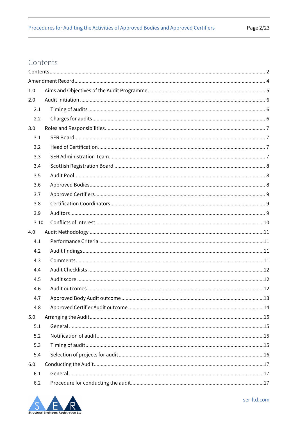# <span id="page-1-0"></span>Contents

| 1.0  |  |
|------|--|
| 2.0  |  |
| 2.1  |  |
| 2.2  |  |
| 3.0  |  |
| 3.1  |  |
| 3.2  |  |
| 3.3  |  |
| 3.4  |  |
| 3.5  |  |
| 3.6  |  |
| 3.7  |  |
| 3.8  |  |
| 3.9  |  |
| 3.10 |  |
| 4.0  |  |
| 4.1  |  |
| 4.2  |  |
| 4.3  |  |
| 4.4  |  |
| 4.5  |  |
| 4.6  |  |
| 4.7  |  |
| 4.8  |  |
| 5.0  |  |
| 5.1  |  |
| 5.2  |  |
| 5.3  |  |
| 5.4  |  |
| 6.0  |  |
| 6.1  |  |
| 6.2  |  |

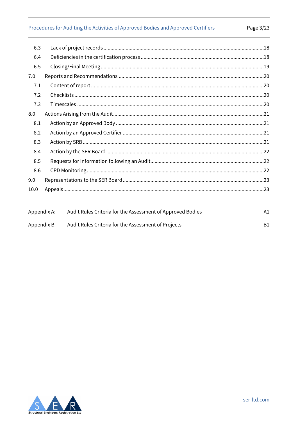# Procedures for Auditing the Activities of Approved Bodies and Approved Certifiers

| 6.3  |                                                                                                                                                                                                                                                                                                    |        |
|------|----------------------------------------------------------------------------------------------------------------------------------------------------------------------------------------------------------------------------------------------------------------------------------------------------|--------|
| 6.4  |                                                                                                                                                                                                                                                                                                    |        |
| 6.5  |                                                                                                                                                                                                                                                                                                    |        |
| 7.0  |                                                                                                                                                                                                                                                                                                    |        |
| 7.1  |                                                                                                                                                                                                                                                                                                    |        |
| 7.2  |                                                                                                                                                                                                                                                                                                    |        |
| 7.3  |                                                                                                                                                                                                                                                                                                    |        |
| 8.0  |                                                                                                                                                                                                                                                                                                    |        |
| 8.1  |                                                                                                                                                                                                                                                                                                    |        |
| 8.2  |                                                                                                                                                                                                                                                                                                    |        |
| 8.3  |                                                                                                                                                                                                                                                                                                    |        |
| 8.4  |                                                                                                                                                                                                                                                                                                    |        |
| 8.5  |                                                                                                                                                                                                                                                                                                    |        |
| 8.6  |                                                                                                                                                                                                                                                                                                    |        |
| 9.0  |                                                                                                                                                                                                                                                                                                    |        |
| 10.0 |                                                                                                                                                                                                                                                                                                    |        |
|      |                                                                                                                                                                                                                                                                                                    |        |
|      | $\mathbf{A}$ and the $\mathbf{A}$ denotes $\mathbf{A}$ and $\mathbf{A}$ and $\mathbf{A}$ are $\mathbf{A}$ and $\mathbf{A}$ and $\mathbf{A}$ are $\mathbf{A}$ and $\mathbf{A}$ and $\mathbf{A}$ are $\mathbf{A}$ and $\mathbf{A}$ are $\mathbf{A}$ and $\mathbf{A}$ are $\mathbf{A}$ and $\mathbf{$ | $\sim$ |

| Appendix A: | Audit Rules Criteria for the Assessment of Approved Bodies |  |
|-------------|------------------------------------------------------------|--|
| Appendix B: | Audit Rules Criteria for the Assessment of Projects        |  |

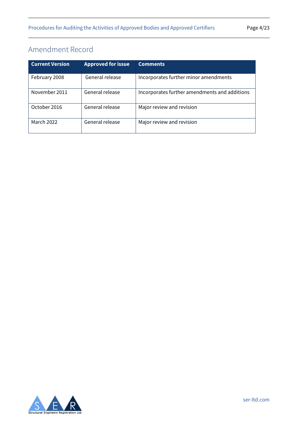# <span id="page-3-0"></span>Amendment Record

| <b>Current Version</b> | <b>Approved for issue</b> | <b>Comments</b>                               |
|------------------------|---------------------------|-----------------------------------------------|
| February 2008          | General release           | Incorporates further minor amendments         |
| November 2011          | General release           | Incorporates further amendments and additions |
| October 2016           | General release           | Major review and revision                     |
| <b>March 2022</b>      | General release           | Major review and revision                     |

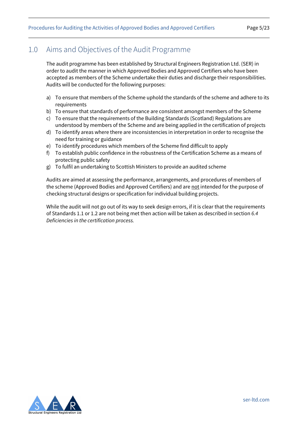# <span id="page-4-0"></span>1.0 Aims and Objectives of the Audit Programme

The audit programme has been established by Structural Engineers Registration Ltd. (SER) in order to audit the manner in which Approved Bodies and Approved Certifiers who have been accepted as members of the Scheme undertake their duties and discharge their responsibilities. Audits will be conducted for the following purposes:

- a) To ensure that members of the Scheme uphold the standards of the scheme and adhere to its requirements
- b) To ensure that standards of performance are consistent amongst members of the Scheme
- c) To ensure that the requirements of the Building Standards (Scotland) Regulations are understood by members of the Scheme and are being applied in the certification of projects
- d) To identify areas where there are inconsistencies in interpretation in order to recognise the need for training or guidance
- e) To identify procedures which members of the Scheme find difficult to apply
- f) To establish public confidence in the robustness of the Certification Scheme as a means of protecting public safety
- g) To fulfil an undertaking to Scottish Ministers to provide an audited scheme

Audits are aimed at assessing the performance, arrangements, and procedures of members of the scheme (Approved Bodies and Approved Certifiers) and are not intended for the purpose of checking structural designs or specification for individual building projects.

While the audit will not go out of its way to seek design errors, if it is clear that the requirements of Standards 1.1 or 1.2 are not being met then action will be taken as described in section *[6.4](#page-17-1)  [Deficiencies in the certification process.](#page-17-1)*

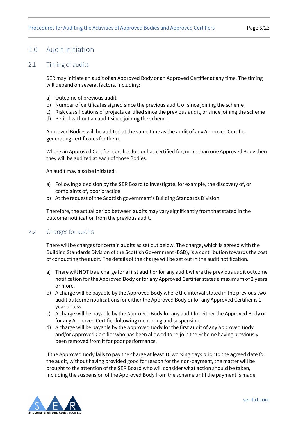## <span id="page-5-0"></span>2.0 Audit Initiation

#### <span id="page-5-1"></span>2.1 Timing of audits

SER may initiate an audit of an Approved Body or an Approved Certifier at any time. The timing will depend on several factors, including:

- a) Outcome of previous audit
- b) Number of certificates signed since the previous audit, or since joining the scheme
- c) Risk classifications of projects certified since the previous audit, or since joining the scheme
- d) Period without an audit since joining the scheme

Approved Bodies will be audited at the same time as the audit of any Approved Certifier generating certificates for them.

Where an Approved Certifier certifies for, or has certified for, more than one Approved Body then they will be audited at each of those Bodies.

An audit may also be initiated:

- a) Following a decision by the SER Board to investigate, for example, the discovery of, or complaints of, poor practice
- b) At the request of the Scottish government's Building Standards Division

Therefore, the actual period between audits may vary significantly from that stated in the outcome notification from the previous audit.

### <span id="page-5-2"></span>2.2 Charges for audits

There will be charges for certain audits as set out below. The charge, which is agreed with the Building Standards Division of the Scottish Government (BSD), is a contribution towards the cost of conducting the audit. The details of the charge will be set out in the audit notification.

- a) There will NOT be a charge for a first audit or for any audit where the previous audit outcome notification for the Approved Body or for any Approved Certifier states a maximum of 2 years or more.
- b) A charge will be payable by the Approved Body where the interval stated in the previous two audit outcome notifications for either the Approved Body or for any Approved Certifier is 1 year or less.
- c) A charge will be payable by the Approved Body for any audit for either the Approved Body or for any Approved Certifier following mentoring and suspension.
- d) A charge will be payable by the Approved Body for the first audit of any Approved Body and/or Approved Certifier who has been allowed to re-join the Scheme having previously been removed from it for poor performance.

If the Approved Body fails to pay the charge at least 10 working days prior to the agreed date for the audit, without having provided good for reason for the non-payment, the matter will be brought to the attention of the SER Board who will consider what action should be taken, including the suspension of the Approved Body from the scheme until the payment is made.

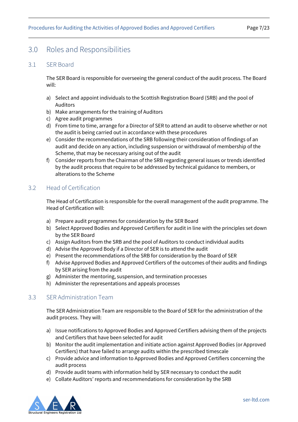## <span id="page-6-0"></span>3.0 Roles and Responsibilities

#### <span id="page-6-1"></span>3.1 SER Board

The SER Board is responsible for overseeing the general conduct of the audit process. The Board will:

- a) Select and appoint individuals to the Scottish Registration Board (SRB) and the pool of Auditors
- b) Make arrangements for the training of Auditors
- c) Agree audit programmes
- d) From time to time, arrange for a Director of SER to attend an audit to observe whether or not the audit is being carried out in accordance with these procedures
- e) Consider the recommendations of the SRB following their consideration of findings of an audit and decide on any action, including suspension or withdrawal of membership of the Scheme, that may be necessary arising out of the audit
- f) Consider reports from the Chairman of the SRB regarding general issues or trends identified by the audit process that require to be addressed by technical guidance to members, or alterations to the Scheme

## <span id="page-6-2"></span>3.2 Head of Certification

The Head of Certification is responsible for the overall management of the audit programme. The Head of Certification will:

- a) Prepare audit programmes for consideration by the SER Board
- b) Select Approved Bodies and Approved Certifiers for audit in line with the principles set down by the SER Board
- c) Assign Auditors from the SRB and the pool of Auditors to conduct individual audits
- d) Advise the Approved Body if a Director of SER is to attend the audit
- e) Present the recommendations of the SRB for consideration by the Board of SER
- f) Advise Approved Bodies and Approved Certifiers of the outcomes of their audits and findings by SER arising from the audit
- g) Administer the mentoring, suspension, and termination processes
- h) Administer the representations and appeals processes

### <span id="page-6-3"></span>3.3 SER Administration Team

The SER Administration Team are responsible to the Board of SER for the administration of the audit process. They will:

- a) Issue notifications to Approved Bodies and Approved Certifiers advising them of the projects and Certifiers that have been selected for audit
- b) Monitor the audit implementation and initiate action against Approved Bodies (or Approved Certifiers) that have failed to arrange audits within the prescribed timescale
- c) Provide advice and information to Approved Bodies and Approved Certifiers concerning the audit process
- d) Provide audit teams with information held by SER necessary to conduct the audit
- e) Collate Auditors' reports and recommendations for consideration by the SRB

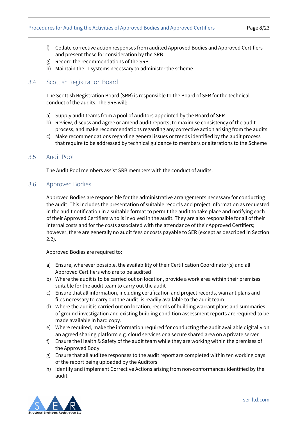- f) Collate corrective action responses from audited Approved Bodies and Approved Certifiers and present these for consideration by the SRB
- g) Record the recommendations of the SRB
- h) Maintain the IT systems necessary to administer the scheme

### <span id="page-7-0"></span>3.4 Scottish Registration Board

The Scottish Registration Board (SRB) is responsible to the Board of SER for the technical conduct of the audits. The SRB will:

- a) Supply audit teams from a pool of Auditors appointed by the Board of SER
- b) Review, discuss and agree or amend audit reports, to maximise consistency of the audit process, and make recommendations regarding any corrective action arising from the audits
- c) Make recommendations regarding general issues or trends identified by the audit process that require to be addressed by technical guidance to members or alterations to the Scheme

#### <span id="page-7-1"></span>3.5 Audit Pool

The Audit Pool members assist SRB members with the conduct of audits.

#### <span id="page-7-2"></span>3.6 Approved Bodies

Approved Bodies are responsible for the administrative arrangements necessary for conducting the audit. This includes the presentation of suitable records and project information as requested in the audit notification in a suitable format to permit the audit to take place and notifying each of their Approved Certifiers who is involved in the audit. They are also responsible for all of their internal costs and for the costs associated with the attendance of their Approved Certifiers; however, there are generally no audit fees or costs payable to SER (except as described in Section 2.2).

Approved Bodies are required to:

- a) Ensure, wherever possible, the availability of their Certification Coordinator(s) and all Approved Certifiers who are to be audited
- b) Where the audit is to be carried out on location, provide a work area within their premises suitable for the audit team to carry out the audit
- c) Ensure that all information, including certification and project records, warrant plans and files necessary to carry out the audit, is readily available to the audit team.
- d) Where the audit is carried out on location, records of building warrant plans and summaries of ground investigation and existing building condition assessment reports are required to be made available in hard copy.
- e) Where required, make the information required for conducting the audit available digitally on an agreed sharing platform e.g. cloud services or a secure shared area on a private server
- f) Ensure the Health & Safety of the audit team while they are working within the premises of the Approved Body
- g) Ensure that all auditee responses to the audit report are completed within ten working days of the report being uploaded by the Auditors
- h) Identify and implement Corrective Actions arising from non-conformances identified by the audit

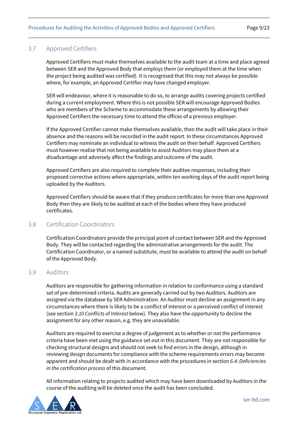## <span id="page-8-0"></span>3.7 Approved Certifiers

Approved Certifiers must make themselves available to the audit team at a time and place agreed between SER and the Approved Body that employs them (or employed them at the time when the project being audited was certified). It is recognised that this may not always be possible where, for example, an Approved Certifier may have changed employer.

SER will endeavour, where it is reasonable to do so, to arrange audits covering projects certified during a current employment. Where this is not possible SER will encourage Approved Bodies who are members of the Scheme to accommodate these arrangements by allowing their Approved Certifiers the necessary time to attend the offices of a previous employer.

If the Approved Certifier cannot make themselves available, then the audit will take place in their absence and the reasons will be recorded in the audit report. In these circumstances Approved Certifiers may nominate an individual to witness the audit on their behalf. Approved Certifiers must however realise that not being available to assist Auditors may place them at a disadvantage and adversely affect the findings and outcome of the audit.

Approved Certifiers are also required to complete their auditee responses, including their proposed corrective actions where appropriate, within ten working days of the audit report being uploaded by the Auditors.

Approved Certifiers should be aware that if they produce certificates for more than one Approved Body then they are likely to be audited at each of the bodies where they have produced certificates.

### <span id="page-8-1"></span>3.8 Certification Coordinators

Certification Coordinators provide the principal point of contact between SER and the Approved Body. They will be contacted regarding the administrative arrangements for the audit. The Certification Coordinator, or a named substitute, must be available to attend the audit on behalf of the Approved Body.

#### <span id="page-8-2"></span>3.9 Auditors

Auditors are responsible for gathering information in relation to conformance using a standard set of pre-determined criteria. Audits are generally carried out by two Auditors. Auditors are assigned via the database by SER Administration. An Auditor must decline an assignment in any circumstances where there is likely to be a conflict of interest or a perceived conflict of interest (see section *[3.10 Conflicts of Interest](#page-9-0)* below). They also have the opportunity to decline the assignment for any other reason, e.g. they are unavailable.

Auditors are required to exercise a degree of judgement as to whether or not the performance criteria have been met using the guidance set out in this document. They are not responsible for checking structural designs and should not seek to find errors in the design, although in reviewing design documents for compliance with the scheme requirements errors may become apparent and should be dealt with in accordance with the procedures in section *[6.4: Deficiencies](#page-17-1)  [in the certification process](#page-17-1)* of this document.

All information relating to projects audited which may have been downloaded by Auditors in the course of the auditing will be deleted once the audit has been concluded.

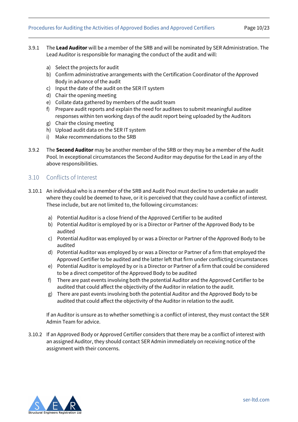#### Procedures for Auditing the Activities of Approved Bodies and Approved Certifiers Page 10/23

- 
- 3.9.1 The **Lead Auditor** will be a member of the SRB and will be nominated by SER Administration. The Lead Auditor is responsible for managing the conduct of the audit and will:
	- a) Select the projects for audit
	- b) Confirm administrative arrangements with the Certification Coordinator of the Approved Body in advance of the audit
	- c) Input the date of the audit on the SER IT system
	- d) Chair the opening meeting
	- e) Collate data gathered by members of the audit team
	- f) Prepare audit reports and explain the need for auditees to submit meaningful auditee responses within ten working days of the audit report being uploaded by the Auditors
	- g) Chair the closing meeting
	- h) Upload audit data on the SER IT system
	- i) Make recommendations to the SRB
- 3.9.2 The **Second Auditor** may be another member of the SRB or they may be a member of the Audit Pool. In exceptional circumstances the Second Auditor may deputise for the Lead in any of the above responsibilities.

#### <span id="page-9-0"></span>3.10 Conflicts of Interest

- 3.10.1 An individual who is a member of the SRB and Audit Pool must decline to undertake an audit where they could be deemed to have, or it is perceived that they could have a conflict of interest. These include, but are not limited to, the following circumstances:
	- a) Potential Auditor is a close friend of the Approved Certifier to be audited
	- b) Potential Auditor is employed by or is a Director or Partner of the Approved Body to be audited
	- c) Potential Auditor was employed by or was a Director or Partner of the Approved Body to be audited
	- d) Potential Auditor was employed by or was a Director or Partner of a firm that employed the Approved Certifier to be audited and the latter left that firm under conflicting circumstances
	- e) Potential Auditor is employed by or is a Director or Partner of a firm that could be considered to be a direct competitor of the Approved Body to be audited
	- f) There are past events involving both the potential Auditor and the Approved Certifier to be audited that could affect the objectivity of the Auditor in relation to the audit.
	- g) There are past events involving both the potential Auditor and the Approved Body to be audited that could affect the objectivity of the Auditor in relation to the audit.

If an Auditor is unsure as to whether something is a conflict of interest, they must contact the SER Admin Team for advice.

3.10.2 If an Approved Body or Approved Certifier considers that there may be a conflict of interest with an assigned Auditor, they should contact SER Admin immediately on receiving notice of the assignment with their concerns.

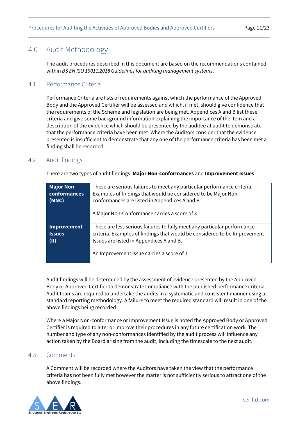## <span id="page-10-0"></span>4.0 Audit Methodology

The audit procedures described in this document are based on the recommendations contained within *BS EN ISO 19011:2018 Guidelines for auditing management systems*.

## <span id="page-10-1"></span>4.1 Performance Criteria

Performance Criteria are lists of requirements against which the performance of the Approved Body and the Approved Certifier will be assessed and which, if met, should give confidence that the requirements of the Scheme and legislation are being met. Appendices A and B list these criteria and give some background information explaining the importance of the item and a description of the evidence which should be presented by the auditee at audit to demonstrate that the performance criteria have been met. Where the Auditors consider that the evidence presented is insufficient to demonstrate that any one of the performance criteria has been met a finding shall be recorded.

## <span id="page-10-2"></span>4.2 Audit findings

There are two types of audit findings, **Major Non-conformances** and **Improvement Issues**.

| <b>Major Non-</b><br>These are serious failures to meet any particular performance criteria.<br><b>conformances</b><br>Examples of findings that would be considered to be Major Non-<br>conformances are listed in Appendices A and B.<br>(MNC)<br>A Major Non-Conformance carries a score of 3 |                                                                                                                                                                                                                                                |
|--------------------------------------------------------------------------------------------------------------------------------------------------------------------------------------------------------------------------------------------------------------------------------------------------|------------------------------------------------------------------------------------------------------------------------------------------------------------------------------------------------------------------------------------------------|
| <b>Improvement</b><br><b>Issues</b><br>(II)                                                                                                                                                                                                                                                      | These are less serious failures to fully meet any particular performance<br>criteria. Examples of findings that would be considered to be Improvement<br>Issues are listed in Appendices A and B.<br>An Improvement Issue carries a score of 1 |

Audit findings will be determined by the assessment of evidence presented by the Approved Body or Approved Certifier to demonstrate compliance with the published performance criteria. Audit teams are required to undertake the audits in a systematic and consistent manner using a standard reporting methodology. A failure to meet the required standard will result in one of the above findings being recorded.

Where a Major Non-conformance or Improvement Issue is noted the Approved Body or Approved Certifier is required to alter or improve their procedures in any future certification work. The number and type of any non-conformances identified by the audit process will influence any action taken by the Board arising from the audit, including the timescale to the next audit.

### <span id="page-10-3"></span>4.3 Comments

A Comment will be recorded where the Auditors have taken the view that the performance criteria has not been fully met however the matter is not sufficiently serious to attract one of the above findings.

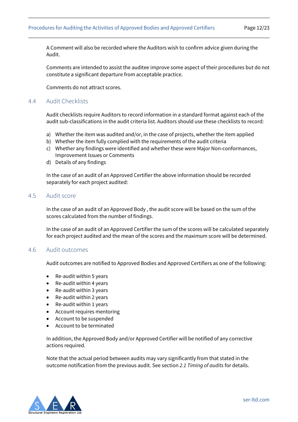A Comment will also be recorded where the Auditors wish to confirm advice given during the Audit.

Comments are intended to assist the auditee improve some aspect of their procedures but do not constitute a significant departure from acceptable practice.

Comments do not attract scores.

#### <span id="page-11-0"></span>4.4 Audit Checklists

Audit checklists require Auditors to record information in a standard format against each of the audit sub-classifications in the audit criteria list. Auditors should use these checklists to record:

- a) Whether the item was audited and/or, in the case of projects, whether the item applied
- b) Whether the item fully complied with the requirements of the audit criteria
- c) Whether any findings were identified and whether these were Major Non-conformances, Improvement Issues or Comments
- d) Details of any findings

In the case of an audit of an Approved Certifier the above information should be recorded separately for each project audited:

#### <span id="page-11-1"></span>4.5 Audit score

In the case of an audit of an Approved Body , the audit score will be based on the sum of the scores calculated from the number of findings.

In the case of an audit of an Approved Certifier the sum of the scores will be calculated separately for each project audited and the mean of the scores and the maximum score will be determined.

#### <span id="page-11-2"></span>4.6 Audit outcomes

Audit outcomes are notified to Approved Bodies and Approved Certifiers as one of the following:

- Re-audit within 5 years
- Re-audit within 4 years
- Re-audit within 3 years
- Re-audit within 2 years
- Re-audit within 1 years
- Account requires mentoring
- Account to be suspended
- Account to be terminated

In addition, the Approved Body and/or Approved Certifier will be notified of any corrective actions required.

Note that the actual period between audits may vary significantly from that stated in the outcome notification from the previous audit. See section *[2.1 Timing of audits](#page-5-1)* for details.

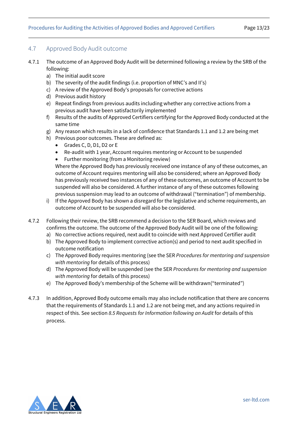## <span id="page-12-0"></span>4.7 Approved Body Audit outcome

- 4.7.1 The outcome of an Approved Body Audit will be determined following a review by the SRB of the following:
	- a) The initial audit score
	- b) The severity of the audit findings (i.e. proportion of MNC's and II's)
	- c) A review of the Approved Body's proposals for corrective actions
	- d) Previous audit history
	- e) Repeat findings from previous audits including whether any corrective actions from a previous audit have been satisfactorily implemented
	- f) Results of the audits of Approved Certifiers certifying for the Approved Body conducted at the same time
	- g) Any reason which results in a lack of confidence that Standards 1.1 and 1.2 are being met
	- h) Previous poor outcomes. These are defined as:
		- Grades C, D, D1, D2 or E
		- Re-audit with 1 year, Account requires mentoring or Account to be suspended
		- Further monitoring (from a Monitoring review)

Where the Approved Body has previously received one instance of any of these outcomes, an outcome of Account requires mentoring will also be considered; where an Approved Body has previously received two instances of any of these outcomes, an outcome of Account to be suspended will also be considered. A further instance of any of these outcomes following previous suspension may lead to an outcome of withdrawal ("termination") of membership.

- i) If the Approved Body has shown a disregard for the legislative and scheme requirements, an outcome of Account to be suspended will also be considered.
- 4.7.2 Following their review, the SRB recommend a decision to the SER Board, which reviews and confirms the outcome. The outcome of the Approved Body Audit will be one of the following:
	- a) No corrective actions required, next audit to coincide with next Approved Certifier audit
	- b) The Approved Body to implement corrective action(s) and period to next audit specified in outcome notification
	- c) The Approved Body requires mentoring (see the SER *Procedures for mentoring and suspension with mentoring* for details of this process)
	- d) The Approved Body will be suspended (see the SER *Procedures for mentoring and suspension with mentoring* for details of this process)
	- e) The Approved Body's membership of the Scheme will be withdrawn("terminated")
- 4.7.3 In addition, Approved Body outcome emails may also include notification that there are concerns that the requirements of Standards 1.1 and 1.2 are not being met, and any actions required in respect of this. See section *8.5 [Requests for Information following an Audit](#page-21-1)* for details of this process.

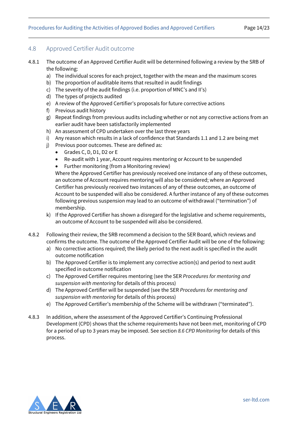## <span id="page-13-0"></span>4.8 Approved Certifier Audit outcome

- 4.8.1 The outcome of an Approved Certifier Audit will be determined following a review by the SRB of the following:
	- a) The individual scores for each project, together with the mean and the maximum scores
	- b) The proportion of auditable items that resulted in audit findings
	- c) The severity of the audit findings (i.e. proportion of MNC's and II's)
	- d) The types of projects audited
	- e) A review of the Approved Certifier's proposals for future corrective actions
	- f) Previous audit history
	- g) Repeat findings from previous audits including whether or not any corrective actions from an earlier audit have been satisfactorily implemented
	- h) An assessment of CPD undertaken over the last three years
	- i) Any reason which results in a lack of confidence that Standards 1.1 and 1.2 are being met
	- j) Previous poor outcomes. These are defined as:
		- Grades C, D, D1, D2 or E
		- Re-audit with 1 year, Account requires mentoring or Account to be suspended
		- Further monitoring (from a Monitoring review)

Where the Approved Certifier has previously received one instance of any of these outcomes, an outcome of Account requires mentoring will also be considered; where an Approved Certifier has previously received two instances of any of these outcomes, an outcome of Account to be suspended will also be considered. A further instance of any of these outcomes following previous suspension may lead to an outcome of withdrawal ("termination") of membership.

- k) If the Approved Certifier has shown a disregard for the legislative and scheme requirements, an outcome of Account to be suspended will also be considered.
- 4.8.2 Following their review, the SRB recommend a decision to the SER Board, which reviews and confirms the outcome. The outcome of the Approved Certifier Audit will be one of the following:
	- a) No corrective actions required; the likely period to the next audit is specified in the audit outcome notification
	- b) The Approved Certifier is to implement any corrective action(s) and period to next audit specified in outcome notification
	- c) The Approved Certifier requires mentoring (see the SER *Procedures for mentoring and suspension with mentoring* for details of this process)
	- d) The Approved Certifier will be suspended (see the SER *Procedures for mentoring and suspension with mentoring* for details of this process)
	- e) The Approved Certifier's membership of the Scheme will be withdrawn ("terminated").
- 4.8.3 In addition, where the assessment of the Approved Certifier's Continuing Professional Development (CPD) shows that the scheme requirements have not been met, monitoring of CPD for a period of up to 3 years may be imposed. See section *[8.6 CPD Monitoring](#page-21-2)* for details of this process.

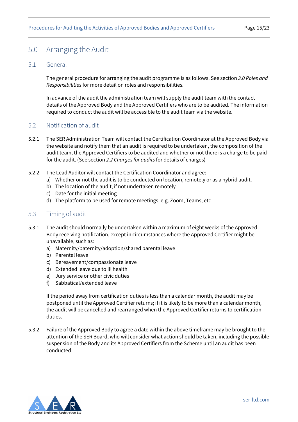## <span id="page-14-0"></span>5.0 Arranging the Audit

### <span id="page-14-1"></span>5.1 General

The general procedure for arranging the audit programme is as follows. See section *[3.0 Roles and](#page-6-0)  [Responsibilities](#page-6-0)* for more detail on roles and responsibilities.

In advance of the audit the administration team will supply the audit team with the contact details of the Approved Body and the Approved Certifiers who are to be audited. The information required to conduct the audit will be accessible to the audit team via the website.

## <span id="page-14-2"></span>5.2 Notification of audit

- 5.2.1 The SER Administration Team will contact the Certification Coordinator at the Approved Body via the website and notify them that an audit is required to be undertaken, the composition of the audit team, the Approved Certifiers to be audited and whether or not there is a charge to be paid for the audit. (See section *2.2 [Charges for audits](#page-5-2)* for details of charges)
- 5.2.2 The Lead Auditor will contact the Certification Coordinator and agree:
	- a) Whether or not the audit is to be conducted on location, remotely or as a hybrid audit.
	- b) The location of the audit, if not undertaken remotely
	- c) Date for the initial meeting
	- d) The platform to be used for remote meetings, e.g. Zoom, Teams, etc

#### <span id="page-14-3"></span>5.3 Timing of audit

- 5.3.1 The audit should normally be undertaken within a maximum of eight weeks of the Approved Body receiving notification, except in circumstances where the Approved Certifier might be unavailable, such as:
	- a) Maternity/paternity/adoption/shared parental leave
	- b) Parental leave
	- c) Bereavement/compassionate leave
	- d) Extended leave due to ill health
	- e) Jury service or other civic duties
	- f) Sabbatical/extended leave

If the period away from certification duties is less than a calendar month, the audit may be postponed until the Approved Certifier returns; if it is likely to be more than a calendar month, the audit will be cancelled and rearranged when the Approved Certifier returns to certification duties.

5.3.2 Failure of the Approved Body to agree a date within the above timeframe may be brought to the attention of the SER Board, who will consider what action should be taken, including the possible suspension of the Body and its Approved Certifiers from the Scheme until an audit has been conducted.

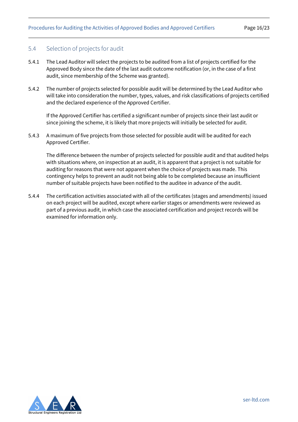### <span id="page-15-0"></span>5.4 Selection of projects for audit

- 5.4.1 The Lead Auditor will select the projects to be audited from a list of projects certified for the Approved Body since the date of the last audit outcome notification (or, in the case of a first audit, since membership of the Scheme was granted).
- 5.4.2 The number of projects selected for possible audit will be determined by the Lead Auditor who will take into consideration the number, types, values, and risk classifications of projects certified and the declared experience of the Approved Certifier.

If the Approved Certifier has certified a significant number of projects since their last audit or since joining the scheme, it is likely that more projects will initially be selected for audit.

5.4.3 A maximum of five projects from those selected for possible audit will be audited for each Approved Certifier.

The difference between the number of projects selected for possible audit and that audited helps with situations where, on inspection at an audit, it is apparent that a project is not suitable for auditing for reasons that were not apparent when the choice of projects was made. This contingency helps to prevent an audit not being able to be completed because an insufficient number of suitable projects have been notified to the auditee in advance of the audit.

5.4.4 The certification activities associated with all of the certificates (stages and amendments) issued on each project will be audited, except where earlier stages or amendments were reviewed as part of a previous audit, in which case the associated certification and project records will be examined for information only.

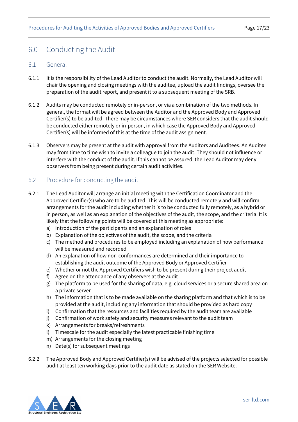## <span id="page-16-0"></span>6.0 Conducting the Audit

#### <span id="page-16-1"></span>6.1 General

- 6.1.1 It is the responsibility of the Lead Auditor to conduct the audit. Normally, the Lead Auditor will chair the opening and closing meetings with the auditee, upload the audit findings, oversee the preparation of the audit report, and present it to a subsequent meeting of the SRB.
- 6.1.2 Audits may be conducted remotely or in-person, or via a combination of the two methods. In general, the format will be agreed between the Auditor and the Approved Body and Approved Certifier(s) to be audited. There may be circumstances where SER considers that the audit should be conducted either remotely or in-person, in which case the Approved Body and Approved Certifier(s) will be informed of this at the time of the audit assignment.
- 6.1.3 Observers may be present at the audit with approval from the Auditors and Auditees. An Auditee may from time to time wish to invite a colleague to join the audit. They should not influence or interfere with the conduct of the audit. If this cannot be assured, the Lead Auditor may deny observers from being present during certain audit activities.

## <span id="page-16-2"></span>6.2 Procedure for conducting the audit

- 6.2.1 The Lead Auditor will arrange an initial meeting with the Certification Coordinator and the Approved Certifier(s) who are to be audited. This will be conducted remotely and will confirm arrangements for the audit including whether it is to be conducted fully remotely, as a hybrid or in person, as well as an explanation of the objectives of the audit, the scope, and the criteria. It is likely that the following points will be covered at this meeting as appropriate:
	- a) Introduction of the participants and an explanation of roles
	- b) Explanation of the objectives of the audit, the scope, and the criteria
	- c) The method and procedures to be employed including an explanation of how performance will be measured and recorded
	- d) An explanation of how non-conformances are determined and their importance to establishing the audit outcome of the Approved Body or Approved Certifier
	- e) Whether or not the Approved Certifiers wish to be present during their project audit
	- f) Agree on the attendance of any observers at the audit
	- g) The platform to be used for the sharing of data, e.g. cloud services or a secure shared area on a private server
	- h) The information that is to be made available on the sharing platform and that which is to be provided at the audit, including any information that should be provided as hard copy
	- i) Confirmation that the resources and facilities required by the audit team are available
	- j) Confirmation of work safety and security measures relevant to the audit team
	- k) Arrangements for breaks/refreshments
	- l) Timescale for the audit especially the latest practicable finishing time
	- m) Arrangements for the closing meeting
	- n) Date(s) for subsequent meetings
- 6.2.2 The Approved Body and Approved Certifier(s) will be advised of the projects selected for possible audit at least ten working days prior to the audit date as stated on the SER Website.

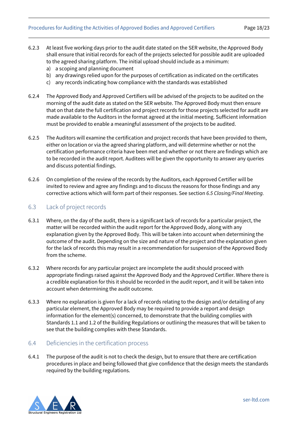#### Procedures for Auditing the Activities of Approved Bodies and Approved Certifiers Page 18/23

- 6.2.3 At least five working days prior to the audit date stated on the SER website, the Approved Body shall ensure that initial records for each of the projects selected for possible audit are uploaded to the agreed sharing platform. The initial upload should include as a minimum:
	- a) a scoping and planning document
	- b) any drawings relied upon for the purposes of certification as indicated on the certificates
	- c) any records indicating how compliance with the standards was established
- 6.2.4 The Approved Body and Approved Certifiers will be advised of the projects to be audited on the morning of the audit date as stated on the SER website. The Approved Body must then ensure that on that date the full certification and project records for those projects selected for audit are made available to the Auditors in the format agreed at the initial meeting. Sufficient information must be provided to enable a meaningful assessment of the projects to be audited.
- 6.2.5 The Auditors will examine the certification and project records that have been provided to them, either on location or via the agreed sharing platform, and will determine whether or not the certification performance criteria have been met and whether or not there are findings which are to be recorded in the audit report. Auditees will be given the opportunity to answer any queries and discuss potential findings.
- 6.2.6 On completion of the review of the records by the Auditors, each Approved Certifier will be invited to review and agree any findings and to discuss the reasons for those findings and any corrective actions which will form part of their responses. See section *[6.5 Closing/Final Meeting.](#page-18-0)*

## <span id="page-17-0"></span>6.3 Lack of project records

- 6.3.1 Where, on the day of the audit, there is a significant lack of records for a particular project, the matter will be recorded within the audit report for the Approved Body, along with any explanation given by the Approved Body. This will be taken into account when determining the outcome of the audit. Depending on the size and nature of the project and the explanation given for the lack of records this may result in a recommendation for suspension of the Approved Body from the scheme.
- 6.3.2 Where records for any particular project are incomplete the audit should proceed with appropriate findings raised against the Approved Body and the Approved Certifier. Where there is a credible explanation for this it should be recorded in the audit report, and it will be taken into account when determining the audit outcome.
- 6.3.3 Where no explanation is given for a lack of records relating to the design and/or detailing of any particular element, the Approved Body may be required to provide a report and design information for the element(s) concerned, to demonstrate that the building complies with Standards 1.1 and 1.2 of the Building Regulations or outlining the measures that will be taken to see that the building complies with these Standards.

### <span id="page-17-1"></span>6.4 Deficiencies in the certification process

6.4.1 The purpose of the audit is not to check the design, but to ensure that there are certification procedures in place and being followed that give confidence that the design meets the standards required by the building regulations.

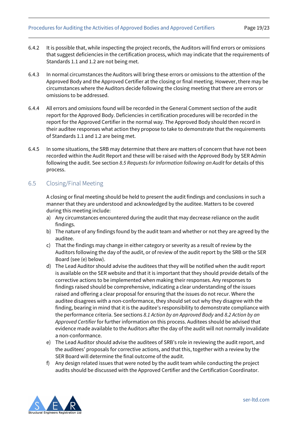- 6.4.2 It is possible that, while inspecting the project records, the Auditors will find errors or omissions that suggest deficiencies in the certification process, which may indicate that the requirements of Standards 1.1 and 1.2 are not being met.
- 6.4.3 In normal circumstances the Auditors will bring these errors or omissions to the attention of the Approved Body and the Approved Certifier at the closing or final meeting. However, there may be circumstances where the Auditors decide following the closing meeting that there are errors or omissions to be addressed.
- 6.4.4 All errors and omissions found will be recorded in the General Comment section of the audit report for the Approved Body. Deficiencies in certification procedures will be recorded in the report for the Approved Certifier in the normal way. The Approved Body should then record in their auditee responses what action they propose to take to demonstrate that the requirements of Standards 1.1 and 1.2 are being met.
- 6.4.5 In some situations, the SRB may determine that there are matters of concern that have not been recorded within the Audit Report and these will be raised with the Approved Body by SER Admin following the audit. See section *[8.5 Requests for Information following an Audit](#page-21-1)* for details of this process.

## <span id="page-18-0"></span>6.5 Closing/Final Meeting

A closing or final meeting should be held to present the audit findings and conclusions in such a manner that they are understood and acknowledged by the auditee. Matters to be covered during this meeting include:

- a) Any circumstances encountered during the audit that may decrease reliance on the audit findings.
- b) The nature of any findings found by the audit team and whether or not they are agreed by the auditee.
- c) That the findings may change in either category or severity as a result of review by the Auditors following the day of the audit, or of review of the audit report by the SRB or the SER Board (see (e) below).
- d) The Lead Auditor should advise the auditees that they will be notified when the audit report is available on the SER website and that it is important that they should provide details of the corrective actions to be implemented when making their responses. Any responses to findings raised should be comprehensive, indicating a clear understanding of the issues raised and offering a clear proposal for ensuring that the issues do not recur. Where the auditee disagrees with a non-conformance, they should set out why they disagree with the finding, bearing in mind that it is the auditee's responsibility to demonstrate compliance with the performance criteria. See sections *[8.1 Action by an Approved Body](#page-20-1)* and *[8.2 Action by an](#page-20-2)  [Approved Certifier](#page-20-2)* for further information on this process. Auditees should be advised that evidence made available to the Auditors after the day of the audit will not normally invalidate a non-conformance.
- e) The Lead Auditor should advise the auditees of SRB's role in reviewing the audit report, and the auditees' proposals for corrective actions, and that this, together with a review by the SER Board will determine the final outcome of the audit.
- f) Any design related issues that were noted by the audit team while conducting the project audits should be discussed with the Approved Certifier and the Certification Coordinator.

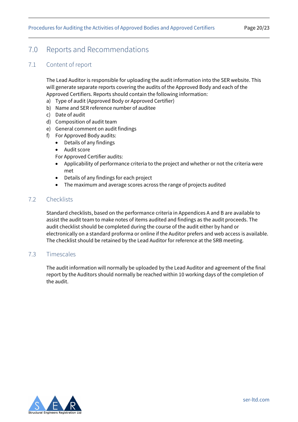## <span id="page-19-0"></span>7.0 Reports and Recommendations

## <span id="page-19-1"></span>7.1 Content of report

The Lead Auditor is responsible for uploading the audit information into the SER website. This will generate separate reports covering the audits of the Approved Body and each of the Approved Certifiers. Reports should contain the following information:

- a) Type of audit (Approved Body or Approved Certifier)
- b) Name and SER reference number of auditee
- c) Date of audit
- d) Composition of audit team
- e) General comment on audit findings
- f) For Approved Body audits:
	- Details of any findings
	- Audit score
	- For Approved Certifier audits:
	- Applicability of performance criteria to the project and whether or not the criteria were met
	- Details of any findings for each project
	- The maximum and average scores across the range of projects audited

## <span id="page-19-2"></span>7.2 Checklists

Standard checklists, based on the performance criteria in Appendices A and B are available to assist the audit team to make notes of items audited and findings as the audit proceeds. The audit checklist should be completed during the course of the audit either by hand or electronically on a standard proforma or online if the Auditor prefers and web access is available. The checklist should be retained by the Lead Auditor for reference at the SRB meeting.

### <span id="page-19-3"></span>7.3 Timescales

The audit information will normally be uploaded by the Lead Auditor and agreement of the final report by the Auditors should normally be reached within 10 working days of the completion of the audit.

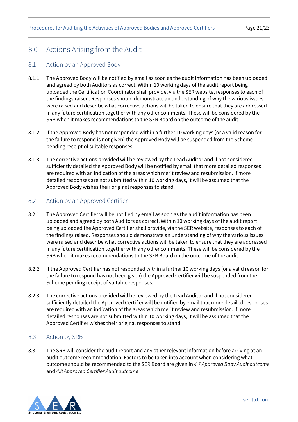## <span id="page-20-0"></span>8.0 Actions Arising from the Audit

### <span id="page-20-1"></span>8.1 Action by an Approved Body

- 8.1.1 The Approved Body will be notified by email as soon as the audit information has been uploaded and agreed by both Auditors as correct. Within 10 working days of the audit report being uploaded the Certification Coordinator shall provide, via the SER website, responses to each of the findings raised. Responses should demonstrate an understanding of why the various issues were raised and describe what corrective actions will be taken to ensure that they are addressed in any future certification together with any other comments. These will be considered by the SRB when it makes recommendations to the SER Board on the outcome of the audit.
- 8.1.2 If the Approved Body has not responded within a further 10 working days (or a valid reason for the failure to respond is not given) the Approved Body will be suspended from the Scheme pending receipt of suitable responses.
- 8.1.3 The corrective actions provided will be reviewed by the Lead Auditor and if not considered sufficiently detailed the Approved Body will be notified by email that more detailed responses are required with an indication of the areas which merit review and resubmission. If more detailed responses are not submitted within 10 working days, it will be assumed that the Approved Body wishes their original responses to stand.

### <span id="page-20-2"></span>8.2 Action by an Approved Certifier

- 8.2.1 The Approved Certifier will be notified by email as soon as the audit information has been uploaded and agreed by both Auditors as correct. Within 10 working days of the audit report being uploaded the Approved Certifier shall provide, via the SER website, responses to each of the findings raised. Responses should demonstrate an understanding of why the various issues were raised and describe what corrective actions will be taken to ensure that they are addressed in any future certification together with any other comments. These will be considered by the SRB when it makes recommendations to the SER Board on the outcome of the audit.
- 8.2.2 If the Approved Certifier has not responded within a further 10 working days (or a valid reason for the failure to respond has not been given) the Approved Certifier will be suspended from the Scheme pending receipt of suitable responses.
- 8.2.3 The corrective actions provided will be reviewed by the Lead Auditor and if not considered sufficiently detailed the Approved Certifier will be notified by email that more detailed responses are required with an indication of the areas which merit review and resubmission. If more detailed responses are not submitted within 10 working days, it will be assumed that the Approved Certifier wishes their original responses to stand.

### <span id="page-20-3"></span>8.3 Action by SRB

8.3.1 The SRB will consider the audit report and any other relevant information before arriving at an audit outcome recommendation. Factors to be taken into account when considering what outcome should be recommended to the SER Board are given in *[4.7 Approved Body Audit outcome](#page-12-0)* and *[4.8 Approved Certifier Audit outcome](#page-13-0)*

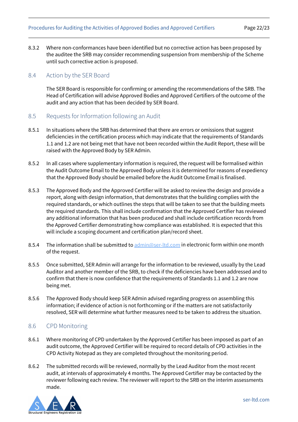8.3.2 Where non-conformances have been identified but no corrective action has been proposed by the auditee the SRB may consider recommending suspension from membership of the Scheme until such corrective action is proposed.

### <span id="page-21-0"></span>8.4 Action by the SER Board

The SER Board is responsible for confirming or amending the recommendations of the SRB. The Head of Certification will advise Approved Bodies and Approved Certifiers of the outcome of the audit and any action that has been decided by SER Board.

- <span id="page-21-1"></span>8.5 Requests for Information following an Audit
- 8.5.1 In situations where the SRB has determined that there are errors or omissions that suggest deficiencies in the certification process which may indicate that the requirements of Standards 1.1 and 1.2 are not being met that have not been recorded within the Audit Report, these will be raised with the Approved Body by SER Admin.
- 8.5.2 In all cases where supplementary information is required, the request will be formalised within the Audit Outcome Email to the Approved Body unless it is determined for reasons of expediency that the Approved Body should be emailed before the Audit Outcome Email is finalised.
- 8.5.3 The Approved Body and the Approved Certifier will be asked to review the design and provide a report, along with design information, that demonstrates that the building complies with the required standards, or which outlines the steps that will be taken to see that the building meets the required standards. This shall include confirmation that the Approved Certifier has reviewed any additional information that has been produced and shall include certification records from the Approved Certifier demonstrating how compliance was established. It is expected that this will include a scoping document and certification plan/record sheet.
- 8.5.4 The information shall be submitted t[o admin@ser-ltd.com](mailto:admin@ser-ltd.com) in electronic form within one month of the request.
- 8.5.5 Once submitted, SER Admin will arrange for the information to be reviewed, usually by the Lead Auditor and another member of the SRB, to check if the deficiencies have been addressed and to confirm that there is now confidence that the requirements of Standards 1.1 and 1.2 are now being met.
- 8.5.6 The Approved Body should keep SER Admin advised regarding progress on assembling this information; if evidence of action is not forthcoming or if the matters are not satisfactorily resolved, SER will determine what further measures need to be taken to address the situation.

## <span id="page-21-2"></span>8.6 CPD Monitoring

- 8.6.1 Where monitoring of CPD undertaken by the Approved Certifier has been imposed as part of an audit outcome, the Approved Certifier will be required to record details of CPD activities in the CPD Activity Notepad as they are completed throughout the monitoring period.
- 8.6.2 The submitted records will be reviewed, normally by the Lead Auditor from the most recent audit, at intervals of approximately 4 months. The Approved Certifier may be contacted by the reviewer following each review. The reviewer will report to the SRB on the interim assessments made.

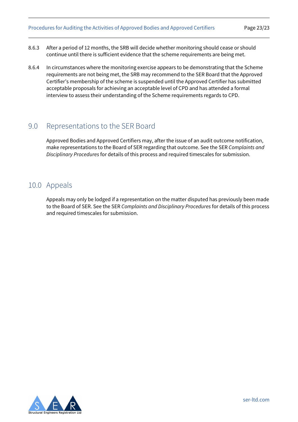- 8.6.3 After a period of 12 months, the SRB will decide whether monitoring should cease or should continue until there is sufficient evidence that the scheme requirements are being met.
- 8.6.4 In circumstances where the monitoring exercise appears to be demonstrating that the Scheme requirements are not being met, the SRB may recommend to the SER Board that the Approved Certifier's membership of the scheme is suspended until the Approved Certifier has submitted acceptable proposals for achieving an acceptable level of CPD and has attended a formal interview to assess their understanding of the Scheme requirements regards to CPD.

## <span id="page-22-0"></span>9.0 Representations to the SER Board

Approved Bodies and Approved Certifiers may, after the issue of an audit outcome notification, make representations to the Board of SER regarding that outcome. See the SER *Complaints and Disciplinary Procedures* for details of this process and required timescales for submission.

## <span id="page-22-1"></span>10.0 Appeals

Appeals may only be lodged if a representation on the matter disputed has previously been made to the Board of SER. See the SER *Complaints and Disciplinary Procedures* for details of this process and required timescales for submission.

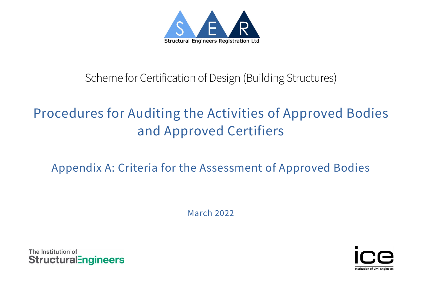

# Scheme for Certification of Design (Building Structures)

# Procedures for Auditing the Activities of Approved Bodies and Approved Certifiers

# Appendix A: Criteria for the Assessment of Approved Bodies

March 2022

The Institution of **StructuralEngineers** 

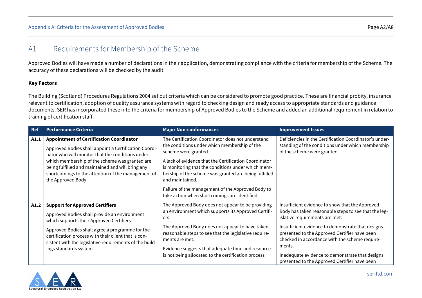## A1 Requirements for Membership of the Scheme

Approved Bodies will have made a number of declarations in their application, demonstrating compliance with the criteria for membership of the Scheme. The accuracy of these declarations will be checked by the audit.

#### **Key Factors**

The Building (Scotland) Procedures Regulations 2004 set out criteria which can be considered to promote good practice. These are financial probity, insurance relevant to certification, adoption of quality assurance systems with regard to checking design and ready access to appropriate standards and guidance documents. SER has incorporated these into the criteria for membership of Approved Bodies to the Scheme and added an additional requirement in relation to training of certification staff.

| <b>Ref</b> | <b>Performance Criteria</b>                                                                                                                                                                                                                                                                                                                     | <b>Major Non-conformances</b>                                                                                                                                                                                                                                                                                                                                                                                              | <b>Improvement Issues</b>                                                                                                                                                                                                                                                                                                                                                                                       |
|------------|-------------------------------------------------------------------------------------------------------------------------------------------------------------------------------------------------------------------------------------------------------------------------------------------------------------------------------------------------|----------------------------------------------------------------------------------------------------------------------------------------------------------------------------------------------------------------------------------------------------------------------------------------------------------------------------------------------------------------------------------------------------------------------------|-----------------------------------------------------------------------------------------------------------------------------------------------------------------------------------------------------------------------------------------------------------------------------------------------------------------------------------------------------------------------------------------------------------------|
| A1.1       | <b>Appointment of Certification Coordinator</b><br>Approved Bodies shall appoint a Certification Coordi-<br>nator who will monitor that the conditions under<br>which membership of the scheme was granted are<br>being fulfilled and maintained and will bring any<br>shortcomings to the attention of the management of<br>the Approved Body. | The Certification Coordinator does not understand<br>the conditions under which membership of the<br>scheme were granted.<br>A lack of evidence that the Certification Coordinator<br>is monitoring that the conditions under which mem-<br>bership of the scheme was granted are being fulfilled<br>and maintained.<br>Failure of the management of the Approved Body to<br>take action when shortcomings are identified. | Deficiencies in the Certification Coordinator's under-<br>standing of the conditions under which membership<br>of the scheme were granted.                                                                                                                                                                                                                                                                      |
| A1.2       | <b>Support for Approved Certifiers</b><br>Approved Bodies shall provide an environment<br>which supports their Approved Certifiers.<br>Approved Bodies shall agree a programme for the<br>certification process with their client that is con-<br>sistent with the legislative requirements of the build-<br>ings standards system.             | The Approved Body does not appear to be providing<br>an environment which supports its Approved Certifi-<br>ers.<br>The Approved Body does not appear to have taken<br>reasonable steps to see that the legislative require-<br>ments are met.<br>Evidence suggests that adequate time and resource<br>is not being allocated to the certification process                                                                 | Insufficient evidence to show that the Approved<br>Body has taken reasonable steps to see that the leg-<br>islative requirements are met.<br>Insufficient evidence to demonstrate that designs<br>presented to the Approved Certifier have been<br>checked in accordance with the scheme require-<br>ments.<br>Inadequate evidence to demonstrate that designs<br>presented to the Approved Certifier have been |

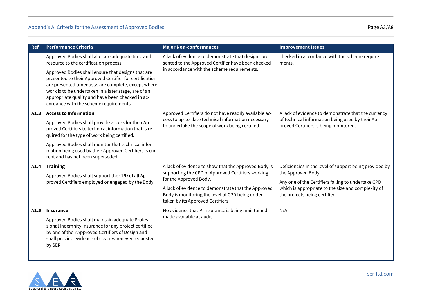| Ref  | <b>Performance Criteria</b>                                                                                                                                                                                                                                                                                                                                                                                              | <b>Major Non-conformances</b>                                                                                                                                                                                                                                                      | <b>Improvement Issues</b>                                                                                                                                                                                                 |
|------|--------------------------------------------------------------------------------------------------------------------------------------------------------------------------------------------------------------------------------------------------------------------------------------------------------------------------------------------------------------------------------------------------------------------------|------------------------------------------------------------------------------------------------------------------------------------------------------------------------------------------------------------------------------------------------------------------------------------|---------------------------------------------------------------------------------------------------------------------------------------------------------------------------------------------------------------------------|
|      | Approved Bodies shall allocate adequate time and<br>resource to the certification process.<br>Approved Bodies shall ensure that designs that are<br>presented to their Approved Certifier for certification<br>are presented timeously, are complete, except where<br>work is to be undertaken in a later stage, are of an<br>appropriate quality and have been checked in ac-<br>cordance with the scheme requirements. | A lack of evidence to demonstrate that designs pre-<br>sented to the Approved Certifier have been checked<br>in accordance with the scheme requirements.                                                                                                                           | checked in accordance with the scheme require-<br>ments.                                                                                                                                                                  |
| A1.3 | <b>Access to Information</b><br>Approved Bodies shall provide access for their Ap-<br>proved Certifiers to technical information that is re-<br>quired for the type of work being certified.<br>Approved Bodies shall monitor that technical infor-<br>mation being used by their Approved Certifiers is cur-<br>rent and has not been superseded.                                                                       | Approved Certifiers do not have readily available ac-<br>cess to up-to-date technical information necessary<br>to undertake the scope of work being certified.                                                                                                                     | A lack of evidence to demonstrate that the currency<br>of technical information being used by their Ap-<br>proved Certifiers is being monitored.                                                                          |
| A1.4 | <b>Training</b><br>Approved Bodies shall support the CPD of all Ap-<br>proved Certifiers employed or engaged by the Body                                                                                                                                                                                                                                                                                                 | A lack of evidence to show that the Approved Body is<br>supporting the CPD of Approved Certifiers working<br>for the Approved Body.<br>A lack of evidence to demonstrate that the Approved<br>Body is monitoring the level of CPD being under-<br>taken by its Approved Certifiers | Deficiencies in the level of support being provided by<br>the Approved Body.<br>Any one of the Certifiers failing to undertake CPD<br>which is appropriate to the size and complexity of<br>the projects being certified. |
| A1.5 | <b>Insurance</b><br>Approved Bodies shall maintain adequate Profes-<br>sional Indemnity Insurance for any project certified<br>by one of their Approved Certifiers of Design and<br>shall provide evidence of cover whenever requested<br>by SER                                                                                                                                                                         | No evidence that PI insurance is being maintained<br>made available at audit                                                                                                                                                                                                       | N/A                                                                                                                                                                                                                       |

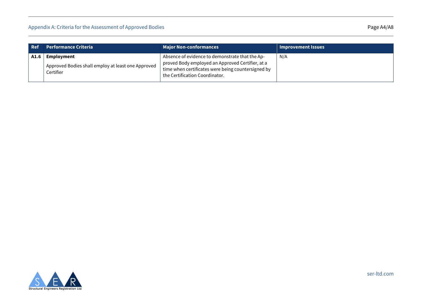| Ref  | <b>Performance Criteria</b>                                                   | <b>Major Non-conformances</b>                                                                                                                                                               | <b>Improvement Issues</b> |
|------|-------------------------------------------------------------------------------|---------------------------------------------------------------------------------------------------------------------------------------------------------------------------------------------|---------------------------|
| A1.6 | Employment<br>Approved Bodies shall employ at least one Approved<br>Certifier | Absence of evidence to demonstrate that the Ap-<br>proved Body employed an Approved Certifier, at a<br>time when certificates were being countersigned by<br>the Certification Coordinator. | N/A                       |

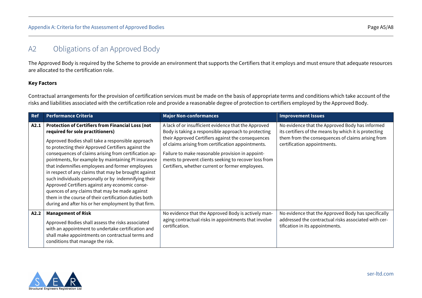## A2 Obligations of an Approved Body

The Approved Body is required by the Scheme to provide an environment that supports the Certifiers that it employs and must ensure that adequate resources are allocated to the certification role.

#### **Key Factors**

Contractual arrangements for the provision of certification services must be made on the basis of appropriate terms and conditions which take account of the risks and liabilities associated with the certification role and provide a reasonable degree of protection to certifiers employed by the Approved Body.

| <b>Ref</b> | <b>Performance Criteria</b>                                                                                                                                                                                                                                                                                                                                                                                                                                                                                                                                                                                                                                                                                       | <b>Major Non-conformances</b>                                                                                                                                                                                                                                                                                                                                                            | <b>Improvement Issues</b>                                                                                                                                                                    |
|------------|-------------------------------------------------------------------------------------------------------------------------------------------------------------------------------------------------------------------------------------------------------------------------------------------------------------------------------------------------------------------------------------------------------------------------------------------------------------------------------------------------------------------------------------------------------------------------------------------------------------------------------------------------------------------------------------------------------------------|------------------------------------------------------------------------------------------------------------------------------------------------------------------------------------------------------------------------------------------------------------------------------------------------------------------------------------------------------------------------------------------|----------------------------------------------------------------------------------------------------------------------------------------------------------------------------------------------|
| A2.1       | <b>Protection of Certifiers from Financial Loss (not</b><br>required for sole practitioners)<br>Approved Bodies shall take a responsible approach<br>to protecting their Approved Certifiers against the<br>consequences of claims arising from certification ap-<br>pointments, for example by maintaining PI insurance<br>that indemnifies employees and former employees<br>in respect of any claims that may be brought against<br>such individuals personally or by indemnifying their<br>Approved Certifiers against any economic conse-<br>quences of any claims that may be made against<br>them in the course of their certification duties both<br>during and after his or her employment by that firm. | A lack of or insufficient evidence that the Approved<br>Body is taking a responsible approach to protecting<br>their Approved Certifiers against the consequences<br>of claims arising from certification appointments.<br>Failure to make reasonable provision in appoint-<br>ments to prevent clients seeking to recover loss from<br>Certifiers, whether current or former employees. | No evidence that the Approved Body has informed<br>its certifiers of the means by which it is protecting<br>them from the consequences of claims arising from<br>certification appointments. |
| A2.2       | <b>Management of Risk</b><br>Approved Bodies shall assess the risks associated<br>with an appointment to undertake certification and<br>shall make appointments on contractual terms and<br>conditions that manage the risk.                                                                                                                                                                                                                                                                                                                                                                                                                                                                                      | No evidence that the Approved Body is actively man-<br>aging contractual risks in appointments that involve<br>certification.                                                                                                                                                                                                                                                            | No evidence that the Approved Body has specifically<br>addressed the contractual risks associated with cer-<br>tification in its appointments.                                               |

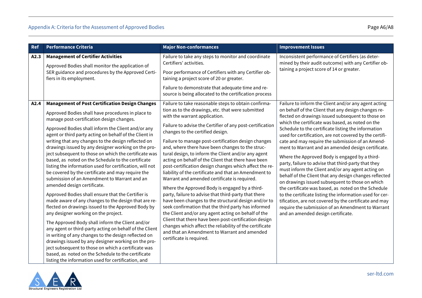| <b>Ref</b> | <b>Performance Criteria</b>                                                                                                                                                                                                                                                                                                                                                                                                                                                                                                                                                                                                                                                                                                                                                                                                                                                                                                                                                                                                                                                                                                                                                                                                                                                                                         | <b>Major Non-conformances</b>                                                                                                                                                                                                                                                                                                                                                                                                                                                                                                                                                                                                                                                                                                                                                                                                                                                                                                                                                                                                                                                                                           | <b>Improvement Issues</b>                                                                                                                                                                                                                                                                                                                                                                                                                                                                                                                                                                                                                                                                                                                                                                                                                                                                                                                                                                           |
|------------|---------------------------------------------------------------------------------------------------------------------------------------------------------------------------------------------------------------------------------------------------------------------------------------------------------------------------------------------------------------------------------------------------------------------------------------------------------------------------------------------------------------------------------------------------------------------------------------------------------------------------------------------------------------------------------------------------------------------------------------------------------------------------------------------------------------------------------------------------------------------------------------------------------------------------------------------------------------------------------------------------------------------------------------------------------------------------------------------------------------------------------------------------------------------------------------------------------------------------------------------------------------------------------------------------------------------|-------------------------------------------------------------------------------------------------------------------------------------------------------------------------------------------------------------------------------------------------------------------------------------------------------------------------------------------------------------------------------------------------------------------------------------------------------------------------------------------------------------------------------------------------------------------------------------------------------------------------------------------------------------------------------------------------------------------------------------------------------------------------------------------------------------------------------------------------------------------------------------------------------------------------------------------------------------------------------------------------------------------------------------------------------------------------------------------------------------------------|-----------------------------------------------------------------------------------------------------------------------------------------------------------------------------------------------------------------------------------------------------------------------------------------------------------------------------------------------------------------------------------------------------------------------------------------------------------------------------------------------------------------------------------------------------------------------------------------------------------------------------------------------------------------------------------------------------------------------------------------------------------------------------------------------------------------------------------------------------------------------------------------------------------------------------------------------------------------------------------------------------|
| A2.3       | <b>Management of Certifier Activities</b><br>Approved Bodies shall monitor the application of<br>SER guidance and procedures by the Approved Certi-<br>fiers in its employment.                                                                                                                                                                                                                                                                                                                                                                                                                                                                                                                                                                                                                                                                                                                                                                                                                                                                                                                                                                                                                                                                                                                                     | Failure to take any steps to monitor and coordinate<br>Certifiers' activities.<br>Poor performance of Certifiers with any Certifier ob-<br>taining a project score of 20 or greater.<br>Failure to demonstrate that adequate time and re-<br>source is being allocated to the certification process                                                                                                                                                                                                                                                                                                                                                                                                                                                                                                                                                                                                                                                                                                                                                                                                                     | Inconsistent performance of Certifiers (as deter-<br>mined by their audit outcome) with any Certifier ob-<br>taining a project score of 14 or greater.                                                                                                                                                                                                                                                                                                                                                                                                                                                                                                                                                                                                                                                                                                                                                                                                                                              |
| A2.4       | <b>Management of Post Certification Design Changes</b><br>Approved Bodies shall have procedures in place to<br>manage post-certification design changes.<br>Approved Bodies shall inform the Client and/or any<br>agent or third party acting on behalf of the Client in<br>writing that any changes to the design reflected on<br>drawings issued by any designer working on the pro-<br>ject subsequent to those on which the certificate was<br>based, as noted on the Schedule to the certificate<br>listing the information used for certification, will not<br>be covered by the certificate and may require the<br>submission of an Amendment to Warrant and an<br>amended design certificate.<br>Approved Bodies shall ensure that the Certifier is<br>made aware of any changes to the design that are re-<br>flected on drawings issued to the Approved Body by<br>any designer working on the project.<br>The Approved Body shall inform the Client and/or<br>any agent or third-party acting on behalf of the Client<br>in writing of any changes to the design reflected on<br>drawings issued by any designer working on the pro-<br>ject subsequent to those on which a certificate was<br>based, as noted on the Schedule to the certificate<br>listing the information used for certification, and | Failure to take reasonable steps to obtain confirma-<br>tion as to the drawings, etc. that were submitted<br>with the warrant application.<br>Failure to advise the Certifier of any post-certification<br>changes to the certified design.<br>Failure to manage post-certification design changes<br>and, where there have been changes to the struc-<br>tural design, to inform the Client and/or any agent<br>acting on behalf of the Client that there have been<br>post-certification design changes which affect the re-<br>liability of the certificate and that an Amendment to<br>Warrant and amended certificate is required.<br>Where the Approved Body is engaged by a third-<br>party, failure to advise that third-party that there<br>have been changes to the structural design and/or to<br>seek confirmation that the third party has informed<br>the Client and/or any agent acting on behalf of the<br>Client that there have been post-certification design<br>changes which affect the reliability of the certificate<br>and that an Amendment to Warrant and amended<br>certificate is required. | Failure to inform the Client and/or any agent acting<br>on behalf of the Client that any design changes re-<br>flected on drawings issued subsequent to those on<br>which the certificate was based, as noted on the<br>Schedule to the certificate listing the information<br>used for certification, are not covered by the certifi-<br>cate and may require the submission of an Amend-<br>ment to Warrant and an amended design certificate.<br>Where the Approved Body is engaged by a third-<br>party, failure to advise that third-party that they<br>must inform the Client and/or any agent acting on<br>behalf of the Client that any design changes reflected<br>on drawings issued subsequent to those on which<br>the certificate was based, as noted on the Schedule<br>to the certificate listing the information used for cer-<br>tification, are not covered by the certificate and may<br>require the submission of an Amendment to Warrant<br>and an amended design certificate. |

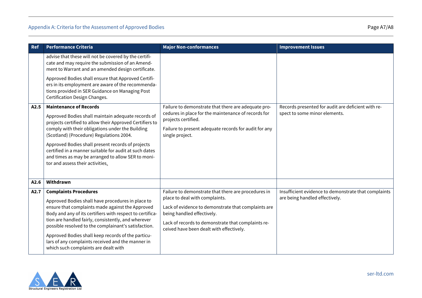| <b>Ref</b> | <b>Performance Criteria</b>                                                                                                                                                                                                                                                                                                                                                                                                                                          | <b>Major Non-conformances</b>                                                                                                                                                                                                                                                | <b>Improvement Issues</b>                                                              |
|------------|----------------------------------------------------------------------------------------------------------------------------------------------------------------------------------------------------------------------------------------------------------------------------------------------------------------------------------------------------------------------------------------------------------------------------------------------------------------------|------------------------------------------------------------------------------------------------------------------------------------------------------------------------------------------------------------------------------------------------------------------------------|----------------------------------------------------------------------------------------|
|            | advise that these will not be covered by the certifi-<br>cate and may require the submission of an Amend-<br>ment to Warrant and an amended design certificate.                                                                                                                                                                                                                                                                                                      |                                                                                                                                                                                                                                                                              |                                                                                        |
|            | Approved Bodies shall ensure that Approved Certifi-<br>ers in its employment are aware of the recommenda-<br>tions provided in SER Guidance on Managing Post<br>Certification Design Changes.                                                                                                                                                                                                                                                                        |                                                                                                                                                                                                                                                                              |                                                                                        |
| A2.5       | <b>Maintenance of Records</b><br>Approved Bodies shall maintain adequate records of<br>projects certified to allow their Approved Certifiers to<br>comply with their obligations under the Building<br>(Scotland) (Procedure) Regulations 2004.<br>Approved Bodies shall present records of projects<br>certified in a manner suitable for audit at such dates<br>and times as may be arranged to allow SER to moni-<br>tor and assess their activities.             | Failure to demonstrate that there are adequate pro-<br>cedures in place for the maintenance of records for<br>projects certified.<br>Failure to present adequate records for audit for any<br>single project.                                                                | Records presented for audit are deficient with re-<br>spect to some minor elements.    |
| A2.6       | Withdrawn                                                                                                                                                                                                                                                                                                                                                                                                                                                            |                                                                                                                                                                                                                                                                              |                                                                                        |
| A2.7       | <b>Complaints Procedures</b><br>Approved Bodies shall have procedures in place to<br>ensure that complaints made against the Approved<br>Body and any of its certifiers with respect to certifica-<br>tion are handled fairly, consistently, and wherever<br>possible resolved to the complainant's satisfaction.<br>Approved Bodies shall keep records of the particu-<br>lars of any complaints received and the manner in<br>which such complaints are dealt with | Failure to demonstrate that there are procedures in<br>place to deal with complaints.<br>Lack of evidence to demonstrate that complaints are<br>being handled effectively.<br>Lack of records to demonstrate that complaints re-<br>ceived have been dealt with effectively. | Insufficient evidence to demonstrate that complaints<br>are being handled effectively. |

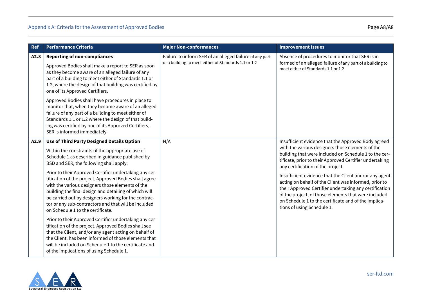| <b>Ref</b> | Performance Criteria                                                                                                                                                                                                                                                                                                                                                                                                                                                                                                                                                                                                                                                                                                                                                                                                                                                                                                        | <b>Major Non-conformances</b>                                                                                   | <b>Improvement Issues</b>                                                                                                                                                                                                                                                                                                                                                                                                                                                                                                                                                                   |
|------------|-----------------------------------------------------------------------------------------------------------------------------------------------------------------------------------------------------------------------------------------------------------------------------------------------------------------------------------------------------------------------------------------------------------------------------------------------------------------------------------------------------------------------------------------------------------------------------------------------------------------------------------------------------------------------------------------------------------------------------------------------------------------------------------------------------------------------------------------------------------------------------------------------------------------------------|-----------------------------------------------------------------------------------------------------------------|---------------------------------------------------------------------------------------------------------------------------------------------------------------------------------------------------------------------------------------------------------------------------------------------------------------------------------------------------------------------------------------------------------------------------------------------------------------------------------------------------------------------------------------------------------------------------------------------|
| A2.8       | <b>Reporting of non-compliances</b><br>Approved Bodies shall make a report to SER as soon<br>as they become aware of an alleged failure of any<br>part of a building to meet either of Standards 1.1 or<br>1.2, where the design of that building was certified by<br>one of its Approved Certifiers.<br>Approved Bodies shall have procedures in place to<br>monitor that, when they become aware of an alleged<br>failure of any part of a building to meet either of<br>Standards 1.1 or 1.2 where the design of that build-<br>ing was certified by one of its Approved Certifiers,<br>SER is informed immediately                                                                                                                                                                                                                                                                                                      | Failure to inform SER of an alleged failure of any part<br>of a building to meet either of Standards 1.1 or 1.2 | Absence of procedures to monitor that SER is in-<br>formed of an alleged failure of any part of a building to<br>meet either of Standards 1.1 or 1.2                                                                                                                                                                                                                                                                                                                                                                                                                                        |
| A2.9       | Use of Third Party Designed Details Option<br>Within the constraints of the appropriate use of<br>Schedule 1 as described in guidance published by<br>BSD and SER, the following shall apply:<br>Prior to their Approved Certifier undertaking any cer-<br>tification of the project, Approved Bodies shall agree<br>with the various designers those elements of the<br>building the final design and detailing of which will<br>be carried out by designers working for the contrac-<br>tor or any sub-contractors and that will be included<br>on Schedule 1 to the certificate.<br>Prior to their Approved Certifier undertaking any cer-<br>tification of the project, Approved Bodies shall see<br>that the Client, and/or any agent acting on behalf of<br>the Client, has been informed of those elements that<br>will be included on Schedule 1 to the certificate and<br>of the implications of using Schedule 1. | N/A                                                                                                             | Insufficient evidence that the Approved Body agreed<br>with the various designers those elements of the<br>building that were included on Schedule 1 to the cer-<br>tificate, prior to their Approved Certifier undertaking<br>any certification of the project.<br>Insufficient evidence that the Client and/or any agent<br>acting on behalf of the Client was informed, prior to<br>their Approved Certifier undertaking any certification<br>of the project, of those elements that were included<br>on Schedule 1 to the certificate and of the implica-<br>tions of using Schedule 1. |

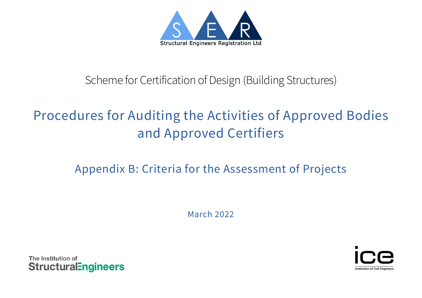

# Scheme for Certification of Design (Building Structures)

# Procedures for Auditing the Activities of Approved Bodies and Approved Certifiers

# Appendix B: Criteria for the Assessment of Projects

March 2022



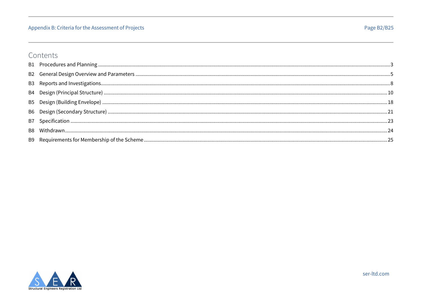## Appendix B: Criteria for the Assessment of Projects

# Contents

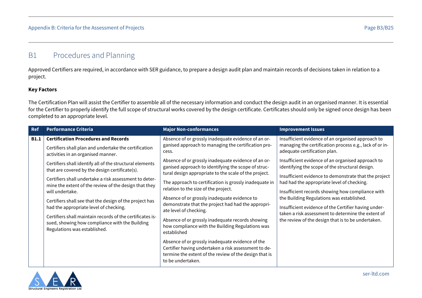# <span id="page-33-0"></span>B1 Procedures and Planning

Approved Certifiers are required, in accordance with SER guidance, to prepare a design audit plan and maintain records of decisions taken in relation to a project.

#### **Key Factors**

The Certification Plan will assist the Certifier to assemble all of the necessary information and conduct the design audit in an organised manner. It is essential for the Certifier to properly identify the full scope of structural works covered by the design certificate. Certificates should only be signed once design has been completed to an appropriate level.

| <b>Ref</b>  | <b>Performance Criteria</b>                                                                                                                                                                                                                                                                                                                                                                                                                                                                                                                                                                                                                        | <b>Major Non-conformances</b>                                                                                                                                                                                                                                                                                                                                                                                                                                                                                                                                                                                                                                                                           | <b>Improvement Issues</b>                                                                                                                                                                                                                                                                                                                                                                                                                                                                                                                                                                                                        |
|-------------|----------------------------------------------------------------------------------------------------------------------------------------------------------------------------------------------------------------------------------------------------------------------------------------------------------------------------------------------------------------------------------------------------------------------------------------------------------------------------------------------------------------------------------------------------------------------------------------------------------------------------------------------------|---------------------------------------------------------------------------------------------------------------------------------------------------------------------------------------------------------------------------------------------------------------------------------------------------------------------------------------------------------------------------------------------------------------------------------------------------------------------------------------------------------------------------------------------------------------------------------------------------------------------------------------------------------------------------------------------------------|----------------------------------------------------------------------------------------------------------------------------------------------------------------------------------------------------------------------------------------------------------------------------------------------------------------------------------------------------------------------------------------------------------------------------------------------------------------------------------------------------------------------------------------------------------------------------------------------------------------------------------|
| <b>B1.1</b> | <b>Certification Procedures and Records</b><br>Certifiers shall plan and undertake the certification<br>activities in an organised manner.<br>Certifiers shall identify all of the structural elements<br>that are covered by the design certificate(s).<br>Certifiers shall undertake a risk assessment to deter-<br>mine the extent of the review of the design that they<br>will undertake.<br>Certifiers shall see that the design of the project has<br>had the appropriate level of checking.<br>Certifiers shall maintain records of the certificates is-<br>sued, showing how compliance with the Building<br>Regulations was established. | Absence of or grossly inadequate evidence of an or-<br>ganised approach to managing the certification pro-<br>cess.<br>Absence of or grossly inadequate evidence of an or-<br>ganised approach to identifying the scope of struc-<br>tural design appropriate to the scale of the project.<br>The approach to certification is grossly inadequate in<br>relation to the size of the project.<br>Absence of or grossly inadequate evidence to<br>demonstrate that the project had had the appropri-<br>ate level of checking.<br>Absence of or grossly inadequate records showing<br>how compliance with the Building Regulations was<br>established<br>Absence of or grossly inadequate evidence of the | Insufficient evidence of an organised approach to<br>managing the certification process e.g., lack of or in-<br>adequate certification plan.<br>Insufficient evidence of an organised approach to<br>identifying the scope of the structural design.<br>Insufficient evidence to demonstrate that the project<br>had had the appropriate level of checking.<br>Insufficient records showing how compliance with<br>the Building Regulations was established.<br>Insufficient evidence of the Certifier having under-<br>taken a risk assessment to determine the extent of<br>the review of the design that is to be undertaken. |
|             |                                                                                                                                                                                                                                                                                                                                                                                                                                                                                                                                                                                                                                                    | Certifier having undertaken a risk assessment to de-<br>termine the extent of the review of the design that is<br>to be undertaken.                                                                                                                                                                                                                                                                                                                                                                                                                                                                                                                                                                     |                                                                                                                                                                                                                                                                                                                                                                                                                                                                                                                                                                                                                                  |

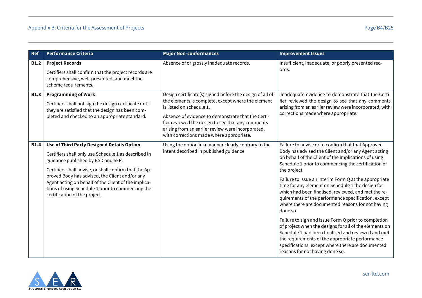| <b>Ref</b>  | <b>Performance Criteria</b>                                                                                                                                                                                                                                                                                                                                                                               | <b>Major Non-conformances</b>                                                                                                                                                                                                                                                                                                                          | <b>Improvement Issues</b>                                                                                                                                                                                                                                                                                                                                                                                                                                                                                                                                                                                                                                                                                                                                                                                                                                |
|-------------|-----------------------------------------------------------------------------------------------------------------------------------------------------------------------------------------------------------------------------------------------------------------------------------------------------------------------------------------------------------------------------------------------------------|--------------------------------------------------------------------------------------------------------------------------------------------------------------------------------------------------------------------------------------------------------------------------------------------------------------------------------------------------------|----------------------------------------------------------------------------------------------------------------------------------------------------------------------------------------------------------------------------------------------------------------------------------------------------------------------------------------------------------------------------------------------------------------------------------------------------------------------------------------------------------------------------------------------------------------------------------------------------------------------------------------------------------------------------------------------------------------------------------------------------------------------------------------------------------------------------------------------------------|
| <b>B1.2</b> | <b>Project Records</b><br>Certifiers shall confirm that the project records are<br>comprehensive, well-presented, and meet the<br>scheme requirements.                                                                                                                                                                                                                                                    | Absence of or grossly inadequate records.                                                                                                                                                                                                                                                                                                              | Insufficient, inadequate, or poorly presented rec-<br>ords.                                                                                                                                                                                                                                                                                                                                                                                                                                                                                                                                                                                                                                                                                                                                                                                              |
| <b>B1.3</b> | <b>Programming of Work</b><br>Certifiers shall not sign the design certificate until<br>they are satisfied that the design has been com-<br>pleted and checked to an appropriate standard.                                                                                                                                                                                                                | Design certificate(s) signed before the design of all of<br>the elements is complete, except where the element<br>is listed on schedule 1.<br>Absence of evidence to demonstrate that the Certi-<br>fier reviewed the design to see that any comments<br>arising from an earlier review were incorporated,<br>with corrections made where appropriate. | Inadequate evidence to demonstrate that the Certi-<br>fier reviewed the design to see that any comments<br>arising from an earlier review were incorporated, with<br>corrections made where appropriate.                                                                                                                                                                                                                                                                                                                                                                                                                                                                                                                                                                                                                                                 |
| <b>B1.4</b> | <b>Use of Third Party Designed Details Option</b><br>Certifiers shall only use Schedule 1 as described in<br>guidance published by BSD and SER.<br>Certifiers shall advise, or shall confirm that the Ap-<br>proved Body has advised, the Client and/or any<br>Agent acting on behalf of the Client of the implica-<br>tions of using Schedule 1 prior to commencing the<br>certification of the project. | Using the option in a manner clearly contrary to the<br>intent described in published guidance.                                                                                                                                                                                                                                                        | Failure to advise or to confirm that that Approved<br>Body has advised the Client and/or any Agent acting<br>on behalf of the Client of the implications of using<br>Schedule 1 prior to commencing the certification of<br>the project.<br>Failure to issue an interim Form Q at the appropriate<br>time for any element on Schedule 1 the design for<br>which had been finalised, reviewed, and met the re-<br>quirements of the performance specification, except<br>where there are documented reasons for not having<br>done so.<br>Failure to sign and issue Form Q prior to completion<br>of project when the designs for all of the elements on<br>Schedule 1 had been finalised and reviewed and met<br>the requirements of the appropriate performance<br>specifications, except where there are documented<br>reasons for not having done so. |

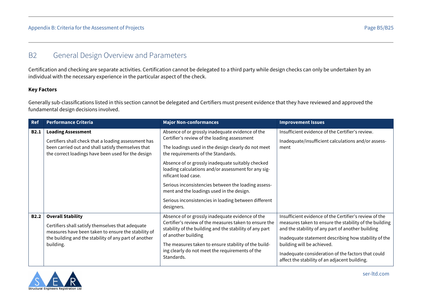## <span id="page-35-0"></span>B2 General Design Overview and Parameters

Certification and checking are separate activities. Certification cannot be delegated to a third party while design checks can only be undertaken by an individual with the necessary experience in the particular aspect of the check.

#### **Key Factors**

Generally sub-classifications listed in this section cannot be delegated and Certifiers must present evidence that they have reviewed and approved the fundamental design decisions involved.

| Ref         | <b>Performance Criteria</b>                                                                                                                                                                                | <b>Major Non-conformances</b>                                                                                                                                                                                                                                                                                                                                                                                                                                                                              | <b>Improvement Issues</b>                                                                                                                                                                                                                                                                                                                                          |
|-------------|------------------------------------------------------------------------------------------------------------------------------------------------------------------------------------------------------------|------------------------------------------------------------------------------------------------------------------------------------------------------------------------------------------------------------------------------------------------------------------------------------------------------------------------------------------------------------------------------------------------------------------------------------------------------------------------------------------------------------|--------------------------------------------------------------------------------------------------------------------------------------------------------------------------------------------------------------------------------------------------------------------------------------------------------------------------------------------------------------------|
| <b>B2.1</b> | <b>Loading Assessment</b><br>Certifiers shall check that a loading assessment has<br>been carried out and shall satisfy themselves that<br>the correct loadings have been used for the design              | Absence of or grossly inadequate evidence of the<br>Certifier's review of the loading assessment<br>The loadings used in the design clearly do not meet<br>the requirements of the Standards.<br>Absence of or grossly inadequate suitably checked<br>loading calculations and/or assessment for any sig-<br>nificant load case.<br>Serious inconsistencies between the loading assess-<br>ment and the loadings used in the design.<br>Serious inconsistencies in loading between different<br>designers. | Insufficient evidence of the Certifier's review.<br>Inadequate/insufficient calculations and/or assess-<br>ment                                                                                                                                                                                                                                                    |
| <b>B2.2</b> | <b>Overall Stability</b><br>Certifiers shall satisfy themselves that adequate<br>measures have been taken to ensure the stability of<br>the building and the stability of any part of another<br>building. | Absence of or grossly inadequate evidence of the<br>Certifier's review of the measures taken to ensure the<br>stability of the building and the stability of any part<br>of another building<br>The measures taken to ensure stability of the build-<br>ing clearly do not meet the requirements of the<br>Standards.                                                                                                                                                                                      | Insufficient evidence of the Certifier's review of the<br>measures taken to ensure the stability of the building<br>and the stability of any part of another building<br>Inadequate statement describing how stability of the<br>building will be achieved.<br>Inadequate consideration of the factors that could<br>affect the stability of an adjacent building. |

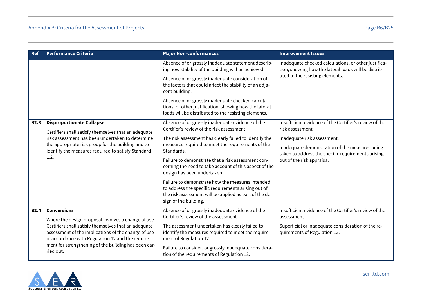| <b>Ref</b>  | <b>Performance Criteria</b>                                                                                                                                                                                                                                                    | <b>Major Non-conformances</b>                                                                                                                                                              | <b>Improvement Issues</b>                                                                                    |
|-------------|--------------------------------------------------------------------------------------------------------------------------------------------------------------------------------------------------------------------------------------------------------------------------------|--------------------------------------------------------------------------------------------------------------------------------------------------------------------------------------------|--------------------------------------------------------------------------------------------------------------|
|             |                                                                                                                                                                                                                                                                                | Absence of or grossly inadequate statement describ-<br>ing how stability of the building will be achieved.                                                                                 | Inadequate checked calculations, or other justifica-<br>tion, showing how the lateral loads will be distrib- |
|             |                                                                                                                                                                                                                                                                                | Absence of or grossly inadequate consideration of<br>the factors that could affect the stability of an adja-<br>cent building.                                                             | uted to the resisting elements.                                                                              |
|             |                                                                                                                                                                                                                                                                                | Absence of or grossly inadequate checked calcula-<br>tions, or other justification, showing how the lateral<br>loads will be distributed to the resisting elements.                        |                                                                                                              |
| <b>B2.3</b> | <b>Disproportionate Collapse</b>                                                                                                                                                                                                                                               | Absence of or grossly inadequate evidence of the<br>Certifier's review of the risk assessment                                                                                              | Insufficient evidence of the Certifier's review of the<br>risk assessment.                                   |
|             | Certifiers shall satisfy themselves that an adequate<br>risk assessment has been undertaken to determine                                                                                                                                                                       | The risk assessment has clearly failed to identify the                                                                                                                                     | Inadequate risk assessment.                                                                                  |
|             | the appropriate risk group for the building and to<br>identify the measures required to satisfy Standard                                                                                                                                                                       | measures required to meet the requirements of the<br>Standards.                                                                                                                            | Inadequate demonstration of the measures being<br>taken to address the specific requirements arising         |
|             | 1.2.                                                                                                                                                                                                                                                                           | Failure to demonstrate that a risk assessment con-<br>cerning the need to take account of this aspect of the<br>design has been undertaken.                                                | out of the risk appraisal                                                                                    |
|             |                                                                                                                                                                                                                                                                                | Failure to demonstrate how the measures intended<br>to address the specific requirements arising out of<br>the risk assessment will be applied as part of the de-<br>sign of the building. |                                                                                                              |
| <b>B2.4</b> | <b>Conversions</b>                                                                                                                                                                                                                                                             | Absence of or grossly inadequate evidence of the<br>Certifier's review of the assessment                                                                                                   | Insufficient evidence of the Certifier's review of the<br>assessment                                         |
|             | Where the design proposal involves a change of use<br>Certifiers shall satisfy themselves that an adequate<br>assessment of the implications of the change of use<br>in accordance with Regulation 12 and the require-<br>ment for strengthening of the building has been car- | The assessment undertaken has clearly failed to<br>identify the measures required to meet the require-<br>ment of Regulation 12.                                                           | Superficial or inadequate consideration of the re-<br>quirements of Regulation 12.                           |
|             | ried out.                                                                                                                                                                                                                                                                      | Failure to consider, or grossly inadequate considera-<br>tion of the requirements of Regulation 12.                                                                                        |                                                                                                              |

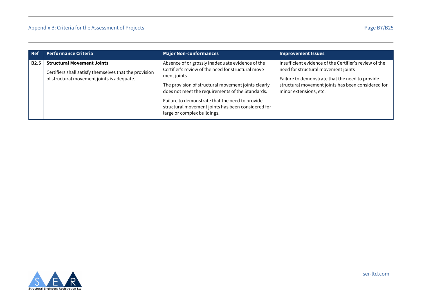| <b>Ref</b> | <b>Performance Criteria</b>                                                                                                               | <b>Major Non-conformances</b>                                                                                                                                                                                                                                                                                                                                             | <b>Improvement Issues</b>                                                                                                                                                                                                        |
|------------|-------------------------------------------------------------------------------------------------------------------------------------------|---------------------------------------------------------------------------------------------------------------------------------------------------------------------------------------------------------------------------------------------------------------------------------------------------------------------------------------------------------------------------|----------------------------------------------------------------------------------------------------------------------------------------------------------------------------------------------------------------------------------|
| B2.5       | <b>Structural Movement Joints</b><br>Certifiers shall satisfy themselves that the provision<br>of structural movement joints is adequate. | Absence of or grossly inadequate evidence of the<br>Certifier's review of the need for structural move-<br>ment joints<br>The provision of structural movement joints clearly<br>does not meet the requirements of the Standards.<br>Failure to demonstrate that the need to provide<br>structural movement joints has been considered for<br>large or complex buildings. | Insufficient evidence of the Certifier's review of the<br>need for structural movement joints<br>Failure to demonstrate that the need to provide<br>structural movement joints has been considered for<br>minor extensions, etc. |

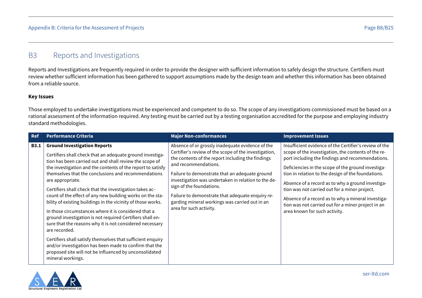## <span id="page-38-0"></span>B3 Reports and Investigations

Reports and Investigations are frequently required in order to provide the designer with sufficient information to safely design the structure. Certifiers must review whether sufficient information has been gathered to support assumptions made by the design team and whether this information has been obtained from a reliable source.

#### **Key Issues**

Those employed to undertake investigations must be experienced and competent to do so. The scope of any investigations commissioned must be based on a rational assessment of the information required. Any testing must be carried out by a testing organisation accredited for the purpose and employing industry standard methodologies.

| <b>Ref</b>  | <b>Performance Criteria</b>                                                                                                                                                                                                                                                                                                                                                                                                                                                                                                                                                                                                                                                                                                                                                                                                                                                                             | <b>Major Non-conformances</b>                                                                                                                                                                                                                                                                                                                                                                                                                                | <b>Improvement Issues</b>                                                                                                                                                                                                                                                                                                                                                                                                                                                                                                        |
|-------------|---------------------------------------------------------------------------------------------------------------------------------------------------------------------------------------------------------------------------------------------------------------------------------------------------------------------------------------------------------------------------------------------------------------------------------------------------------------------------------------------------------------------------------------------------------------------------------------------------------------------------------------------------------------------------------------------------------------------------------------------------------------------------------------------------------------------------------------------------------------------------------------------------------|--------------------------------------------------------------------------------------------------------------------------------------------------------------------------------------------------------------------------------------------------------------------------------------------------------------------------------------------------------------------------------------------------------------------------------------------------------------|----------------------------------------------------------------------------------------------------------------------------------------------------------------------------------------------------------------------------------------------------------------------------------------------------------------------------------------------------------------------------------------------------------------------------------------------------------------------------------------------------------------------------------|
| <b>B3.1</b> | <b>Ground Investigation Reports</b><br>Certifiers shall check that an adequate ground investiga-<br>tion has been carried out and shall review the scope of<br>the investigation and the contents of the report to satisfy<br>themselves that the conclusions and recommendations<br>are appropriate.<br>Certifiers shall check that the investigation takes ac-<br>count of the effect of any new building works on the sta-<br>bility of existing buildings in the vicinity of those works.<br>In those circumstances where it is considered that a<br>ground investigation is not required Certifiers shall en-<br>sure that the reasons why it is not considered necessary<br>are recorded.<br>Certifiers shall satisfy themselves that sufficient enquiry<br>and/or investigation has been made to confirm that the<br>proposed site will not be influenced by unconsolidated<br>mineral workings. | Absence of or grossly inadequate evidence of the<br>Certifier's review of the scope of the investigation,<br>the contents of the report including the findings<br>and recommendations.<br>Failure to demonstrate that an adequate ground<br>investigation was undertaken in relation to the de-<br>sign of the foundations.<br>Failure to demonstrate that adequate enquiry re-<br>garding mineral workings was carried out in an<br>area for such activity. | Insufficient evidence of the Certifier's review of the<br>scope of the investigation, the contents of the re-<br>port including the findings and recommendations.<br>Deficiencies in the scope of the ground investiga-<br>tion in relation to the design of the foundations.<br>Absence of a record as to why a ground investiga-<br>tion was not carried out for a minor project.<br>Absence of a record as to why a mineral investiga-<br>tion was not carried out for a minor project in an<br>area known for such activity. |

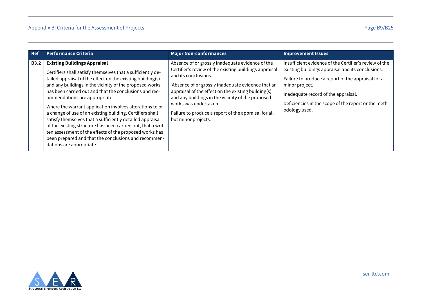| <b>Ref</b>  | <b>Performance Criteria</b>                                                                                                                                                                                                                                                                                                                                                                                                                                                                                                                                                                                                                                                                                                 | <b>Major Non-conformances</b>                                                                                                                                                                                                                                                                                                                                                                               | <b>Improvement Issues</b>                                                                                                                                                                                                                                                                           |
|-------------|-----------------------------------------------------------------------------------------------------------------------------------------------------------------------------------------------------------------------------------------------------------------------------------------------------------------------------------------------------------------------------------------------------------------------------------------------------------------------------------------------------------------------------------------------------------------------------------------------------------------------------------------------------------------------------------------------------------------------------|-------------------------------------------------------------------------------------------------------------------------------------------------------------------------------------------------------------------------------------------------------------------------------------------------------------------------------------------------------------------------------------------------------------|-----------------------------------------------------------------------------------------------------------------------------------------------------------------------------------------------------------------------------------------------------------------------------------------------------|
| <b>B3.2</b> | <b>Existing Buildings Appraisal</b><br>Certifiers shall satisfy themselves that a sufficiently de-<br>tailed appraisal of the effect on the existing building(s)<br>and any buildings in the vicinity of the proposed works<br>has been carried out and that the conclusions and rec-<br>ommendations are appropriate.<br>Where the warrant application involves alterations to or<br>a change of use of an existing building, Certifiers shall<br>satisfy themselves that a sufficiently detailed appraisal<br>of the existing structure has been carried out, that a writ-<br>ten assessment of the effects of the proposed works has<br>been prepared and that the conclusions and recommen-<br>dations are appropriate. | Absence of or grossly inadequate evidence of the<br>Certifier's review of the existing buildings appraisal<br>and its conclusions.<br>Absence of or grossly inadequate evidence that an<br>appraisal of the effect on the existing building(s)<br>and any buildings in the vicinity of the proposed<br>works was undertaken.<br>Failure to produce a report of the appraisal for all<br>but minor projects. | Insufficient evidence of the Certifier's review of the<br>existing buildings appraisal and its conclusions.<br>Failure to produce a report of the appraisal for a<br>minor project.<br>Inadequate record of the appraisal.<br>Deficiencies in the scope of the report or the meth-<br>odology used. |

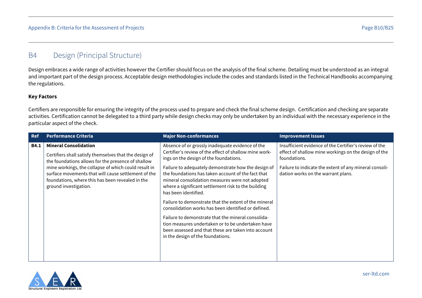# <span id="page-40-0"></span>B4 Design (Principal Structure)

Design embraces a wide range of activities however the Certifier should focus on the analysis of the final scheme. Detailing must be understood as an integral and important part of the design process. Acceptable design methodologies include the codes and standards listed in the Technical Handbooks accompanying the regulations.

#### **Key Factors**

Certifiers are responsible for ensuring the integrity of the process used to prepare and check the final scheme design. Certification and checking are separate activities. Certification cannot be delegated to a third party while design checks may only be undertaken by an individual with the necessary experience in the particular aspect of the check.

| <b>Ref</b>  | <b>Performance Criteria</b>                                                                                                                                                              | <b>Major Non-conformances</b>                                                                                                                                                                                                               | <b>Improvement Issues</b>                                                                                                      |
|-------------|------------------------------------------------------------------------------------------------------------------------------------------------------------------------------------------|---------------------------------------------------------------------------------------------------------------------------------------------------------------------------------------------------------------------------------------------|--------------------------------------------------------------------------------------------------------------------------------|
| <b>B4.1</b> | <b>Mineral Consolidation</b><br>Certifiers shall satisfy themselves that the design of<br>the foundations allows for the presence of shallow                                             | Absence of or grossly inadequate evidence of the<br>Certifier's review of the effect of shallow mine work-<br>ings on the design of the foundations.                                                                                        | Insufficient evidence of the Certifier's review of the<br>effect of shallow mine workings on the design of the<br>foundations. |
|             | mine workings, the collapse of which could result in<br>surface movements that will cause settlement of the<br>foundations, where this has been revealed in the<br>ground investigation. | Failure to adequately demonstrate how the design of<br>the foundations has taken account of the fact that<br>mineral consolidation measures were not adopted<br>where a significant settlement risk to the building<br>has been identified. | Failure to indicate the extent of any mineral consoli-<br>dation works on the warrant plans.                                   |
|             |                                                                                                                                                                                          | Failure to demonstrate that the extent of the mineral<br>consolidation works has been identified or defined.<br>Failure to demonstrate that the mineral consolida-                                                                          |                                                                                                                                |
|             |                                                                                                                                                                                          | tion measures undertaken or to be undertaken have<br>been assessed and that these are taken into account<br>in the design of the foundations.                                                                                               |                                                                                                                                |
|             |                                                                                                                                                                                          |                                                                                                                                                                                                                                             |                                                                                                                                |

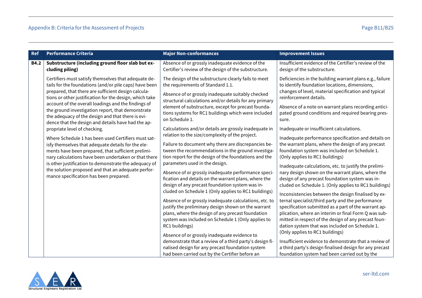| <b>Ref</b>  | <b>Performance Criteria</b>                                                                                                                                                                                                                                                                                                                                                                                                                             | <b>Major Non-conformances</b>                                                                                                                                                                                                                                                                                                                                                                                                                                                                                                                                                                                                                                                                                                                                                                                                                                                                                                                                                                              | <b>Improvement Issues</b>                                                                                                                                                                                                                                                                                                                                                                                                                                                                                                                                                                                                                                                                                                                                                                                                                                                                                                                                                                                         |
|-------------|---------------------------------------------------------------------------------------------------------------------------------------------------------------------------------------------------------------------------------------------------------------------------------------------------------------------------------------------------------------------------------------------------------------------------------------------------------|------------------------------------------------------------------------------------------------------------------------------------------------------------------------------------------------------------------------------------------------------------------------------------------------------------------------------------------------------------------------------------------------------------------------------------------------------------------------------------------------------------------------------------------------------------------------------------------------------------------------------------------------------------------------------------------------------------------------------------------------------------------------------------------------------------------------------------------------------------------------------------------------------------------------------------------------------------------------------------------------------------|-------------------------------------------------------------------------------------------------------------------------------------------------------------------------------------------------------------------------------------------------------------------------------------------------------------------------------------------------------------------------------------------------------------------------------------------------------------------------------------------------------------------------------------------------------------------------------------------------------------------------------------------------------------------------------------------------------------------------------------------------------------------------------------------------------------------------------------------------------------------------------------------------------------------------------------------------------------------------------------------------------------------|
| <b>B4.2</b> | Substructure (including ground floor slab but ex-<br>cluding piling)                                                                                                                                                                                                                                                                                                                                                                                    | Absence of or grossly inadequate evidence of the<br>Certifier's review of the design of the substructure.                                                                                                                                                                                                                                                                                                                                                                                                                                                                                                                                                                                                                                                                                                                                                                                                                                                                                                  | Insufficient evidence of the Certifier's review of the<br>design of the substructure.                                                                                                                                                                                                                                                                                                                                                                                                                                                                                                                                                                                                                                                                                                                                                                                                                                                                                                                             |
|             | Certifiers must satisfy themselves that adequate de-<br>tails for the foundations (and/or pile caps) have been<br>prepared, that there are sufficient design calcula-<br>tions or other justification for the design, which take<br>account of the overall loadings and the findings of<br>the ground investigation report, that demonstrate<br>the adequacy of the design and that there is evi-<br>dence that the design and details have had the ap- | The design of the substructure clearly fails to meet<br>the requirements of Standard 1.1.<br>Absence of or grossly inadequate suitably checked<br>structural calculations and/or details for any primary<br>element of substructure, except for precast founda-<br>tions systems for RC1 buildings which were included<br>on Schedule 1.                                                                                                                                                                                                                                                                                                                                                                                                                                                                                                                                                                                                                                                                   | Deficiencies in the building warrant plans e.g., failure<br>to identify foundation locations, dimensions,<br>changes of level, material specification and typical<br>reinforcement details.<br>Absence of a note on warrant plans recording antici-<br>pated ground conditions and required bearing pres-<br>sure.                                                                                                                                                                                                                                                                                                                                                                                                                                                                                                                                                                                                                                                                                                |
|             | propriate level of checking.<br>Where Schedule 1 has been used Certifiers must sat-<br>isfy themselves that adequate details for the ele-<br>ments have been prepared, that sufficient prelimi-<br>nary calculations have been undertaken or that there<br>is other justification to demonstrate the adequacy of<br>the solution proposed and that an adequate perfor-<br>mance specification has been prepared.                                        | Calculations and/or details are grossly inadequate in<br>relation to the size/complexity of the project.<br>Failure to document why there are discrepancies be-<br>tween the recommendations in the ground investiga-<br>tion report for the design of the foundations and the<br>parameters used in the design.<br>Absence of or grossly inadequate performance speci-<br>fication and details on the warrant plans, where the<br>design of any precast foundation system was in-<br>cluded on Schedule 1 (Only applies to RC1 buildings)<br>Absence of or grossly inadequate calculations, etc. to<br>justify the preliminary design shown on the warrant<br>plans, where the design of any precast foundation<br>system was included on Schedule 1 (Only applies to<br>RC1 buildings)<br>Absence of or grossly inadequate evidence to<br>demonstrate that a review of a third party's design fi-<br>nalised design for any precast foundation system<br>had been carried out by the Certifier before an | Inadequate or insufficient calculations.<br>Inadequate performance specification and details on<br>the warrant plans, where the design of any precast<br>foundation system was included on Schedule 1.<br>(Only applies to RC1 buildings)<br>Inadequate calculations, etc. to justify the prelimi-<br>nary design shown on the warrant plans, where the<br>design of any precast foundation system was in-<br>cluded on Schedule 1. (Only applies to RC1 buildings)<br>Inconsistencies between the design finalised by ex-<br>ternal specialist/third party and the performance<br>specification submitted as a part of the warrant ap-<br>plication, where an interim or final Form Q was sub-<br>mitted in respect of the design of any precast foun-<br>dation system that was included on Schedule 1.<br>(Only applies to RC1 buildings)<br>Insufficient evidence to demonstrate that a review of<br>a third party's design finalised design for any precast<br>foundation system had been carried out by the |

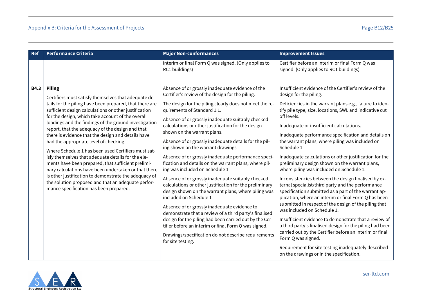| <b>Ref</b>  | <b>Performance Criteria</b>                                                                                                                                                                                                                                                                                                                                                                                                                                                                                                                                                                                                                                                                                                                                                                                                                     | <b>Major Non-conformances</b>                                                                                                                                                                                                                                                                                                                                                                                                                                                                                                                                                                                                                                                                                                                                                                                                                                                                                                                                                                                                                                                                     | <b>Improvement Issues</b>                                                                                                                                                                                                                                                                                                                                                                                                                                                                                                                                                                                                                                                                                                                                                                                                                                                                                                                                                                                                                                                                                                                                                        |
|-------------|-------------------------------------------------------------------------------------------------------------------------------------------------------------------------------------------------------------------------------------------------------------------------------------------------------------------------------------------------------------------------------------------------------------------------------------------------------------------------------------------------------------------------------------------------------------------------------------------------------------------------------------------------------------------------------------------------------------------------------------------------------------------------------------------------------------------------------------------------|---------------------------------------------------------------------------------------------------------------------------------------------------------------------------------------------------------------------------------------------------------------------------------------------------------------------------------------------------------------------------------------------------------------------------------------------------------------------------------------------------------------------------------------------------------------------------------------------------------------------------------------------------------------------------------------------------------------------------------------------------------------------------------------------------------------------------------------------------------------------------------------------------------------------------------------------------------------------------------------------------------------------------------------------------------------------------------------------------|----------------------------------------------------------------------------------------------------------------------------------------------------------------------------------------------------------------------------------------------------------------------------------------------------------------------------------------------------------------------------------------------------------------------------------------------------------------------------------------------------------------------------------------------------------------------------------------------------------------------------------------------------------------------------------------------------------------------------------------------------------------------------------------------------------------------------------------------------------------------------------------------------------------------------------------------------------------------------------------------------------------------------------------------------------------------------------------------------------------------------------------------------------------------------------|
|             |                                                                                                                                                                                                                                                                                                                                                                                                                                                                                                                                                                                                                                                                                                                                                                                                                                                 | interim or final Form Q was signed. (Only applies to<br>RC1 buildings)                                                                                                                                                                                                                                                                                                                                                                                                                                                                                                                                                                                                                                                                                                                                                                                                                                                                                                                                                                                                                            | Certifier before an interim or final Form Q was<br>signed. (Only applies to RC1 buildings)                                                                                                                                                                                                                                                                                                                                                                                                                                                                                                                                                                                                                                                                                                                                                                                                                                                                                                                                                                                                                                                                                       |
| <b>B4.3</b> | <b>Piling</b><br>Certifiers must satisfy themselves that adequate de-<br>tails for the piling have been prepared, that there are<br>sufficient design calculations or other justification<br>for the design, which take account of the overall<br>loadings and the findings of the ground investigation<br>report, that the adequacy of the design and that<br>there is evidence that the design and details have<br>had the appropriate level of checking.<br>Where Schedule 1 has been used Certifiers must sat-<br>isfy themselves that adequate details for the ele-<br>ments have been prepared, that sufficient prelimi-<br>nary calculations have been undertaken or that there<br>is other justification to demonstrate the adequacy of<br>the solution proposed and that an adequate perfor-<br>mance specification has been prepared. | Absence of or grossly inadequate evidence of the<br>Certifier's review of the design for the piling.<br>The design for the piling clearly does not meet the re-<br>quirements of Standard 1.1.<br>Absence of or grossly inadequate suitably checked<br>calculations or other justification for the design<br>shown on the warrant plans.<br>Absence of or grossly inadequate details for the pil-<br>ing shown on the warrant drawings<br>Absence of or grossly inadequate performance speci-<br>fication and details on the warrant plans, where pil-<br>ing was included on Schedule 1<br>Absence of or grossly inadequate suitably checked<br>calculations or other justification for the preliminary<br>design shown on the warrant plans, where piling was<br>included on Schedule 1<br>Absence of or grossly inadequate evidence to<br>demonstrate that a review of a third party's finalised<br>design for the piling had been carried out by the Cer-<br>tifier before an interim or final Form Q was signed.<br>Drawings/specification do not describe requirements<br>for site testing. | Insufficient evidence of the Certifier's review of the<br>design for the piling.<br>Deficiencies in the warrant plans e.g., failure to iden-<br>tify pile type, size, locations, SWL and indicative cut<br>off levels.<br>Inadequate or insufficient calculations.<br>Inadequate performance specification and details on<br>the warrant plans, where piling was included on<br>Schedule 1.<br>Inadequate calculations or other justification for the<br>preliminary design shown on the warrant plans,<br>where piling was included on Schedule 1.<br>Inconsistencies between the design finalised by ex-<br>ternal specialist/third party and the performance<br>specification submitted as a part of the warrant ap-<br>plication, where an interim or final Form Q has been<br>submitted in respect of the design of the piling that<br>was included on Schedule 1.<br>Insufficient evidence to demonstrate that a review of<br>a third party's finalised design for the piling had been<br>carried out by the Certifier before an interim or final<br>Form Q was signed.<br>Requirement for site testing inadequately described<br>on the drawings or in the specification. |

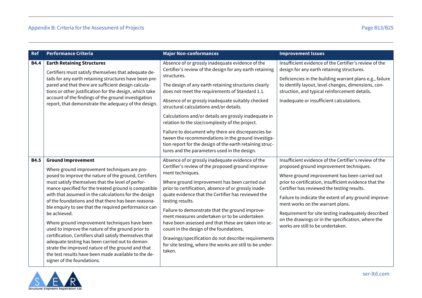| <b>Ref</b>  | <b>Performance Criteria</b>                                                                                                                                                                                                                                                                                                                                                                                                                                                                                                                                                                                                                                                                                                                                                                           | <b>Major Non-conformances</b>                                                                                                                                                                                                                                                                                                                                                                                                                                                                                                                                                                                                                                               | <b>Improvement Issues</b>                                                                                                                                                                                                                                                                                                                                                                                                                                                                                  |
|-------------|-------------------------------------------------------------------------------------------------------------------------------------------------------------------------------------------------------------------------------------------------------------------------------------------------------------------------------------------------------------------------------------------------------------------------------------------------------------------------------------------------------------------------------------------------------------------------------------------------------------------------------------------------------------------------------------------------------------------------------------------------------------------------------------------------------|-----------------------------------------------------------------------------------------------------------------------------------------------------------------------------------------------------------------------------------------------------------------------------------------------------------------------------------------------------------------------------------------------------------------------------------------------------------------------------------------------------------------------------------------------------------------------------------------------------------------------------------------------------------------------------|------------------------------------------------------------------------------------------------------------------------------------------------------------------------------------------------------------------------------------------------------------------------------------------------------------------------------------------------------------------------------------------------------------------------------------------------------------------------------------------------------------|
| <b>B4.4</b> | <b>Earth Retaining Structures</b><br>Certifiers must satisfy themselves that adequate de-<br>tails for any earth retaining structures have been pre-<br>pared and that there are sufficient design calcula-<br>tions or other justification for the design, which take<br>account of the findings of the ground investigation<br>report, that demonstrate the adequacy of the design.                                                                                                                                                                                                                                                                                                                                                                                                                 | Absence of or grossly inadequate evidence of the<br>Certifier's review of the design for any earth retaining<br>structures.<br>The design of any earth retaining structures clearly<br>does not meet the requirements of Standard 1.1.<br>Absence of or grossly inadequate suitably checked<br>structural calculations and/or details.<br>Calculations and/or details are grossly inadequate in<br>relation to the size/complexity of the project.<br>Failure to document why there are discrepancies be-<br>tween the recommendations in the ground investiga-<br>tion report for the design of the earth retaining struc-<br>tures and the parameters used in the design. | Insufficient evidence of the Certifier's review of the<br>design for any earth retaining structures.<br>Deficiencies in the building warrant plans e.g., failure<br>to identify layout, level changes, dimensions, con-<br>struction, and typical reinforcement details.<br>Inadequate or insufficient calculations.                                                                                                                                                                                       |
| <b>B4.5</b> | <b>Ground Improvement</b><br>Where ground improvement techniques are pro-<br>posed to improve the nature of the ground, Certifiers<br>must satisfy themselves that the level of perfor-<br>mance specified for the treated ground is compatible<br>with that assumed in the calculations for the design<br>of the foundations and that there has been reasona-<br>ble enquiry to see that the required performance can<br>be achieved.<br>Where ground improvement techniques have been<br>used to improve the nature of the ground prior to<br>certification, Certifiers shall satisfy themselves that<br>adequate testing has been carried out to demon-<br>strate the improved nature of the ground and that<br>the test results have been made available to the de-<br>signer of the foundations. | Absence of or grossly inadequate evidence of the<br>Certifier's review of the proposed ground improve-<br>ment techniques.<br>Where ground improvement has been carried out<br>prior to certification, absence of or grossly inade-<br>quate evidence that the Certifier has reviewed the<br>testing results.<br>Failure to demonstrate that the ground improve-<br>ment measures undertaken or to be undertaken<br>have been assessed and that these are taken into ac-<br>count in the design of the foundations.<br>Drawings/specification do not describe requirements<br>for site testing, where the works are still to be under-<br>taken.                            | Insufficient evidence of the Certifier's review of the<br>proposed ground improvement techniques.<br>Where ground improvement has been carried out<br>prior to certification, insufficient evidence that the<br>Certifier has reviewed the testing results.<br>Failure to indicate the extent of any ground improve-<br>ment works on the warrant plans.<br>Requirement for site testing inadequately described<br>on the drawings or in the specification, where the<br>works are still to be undertaken. |

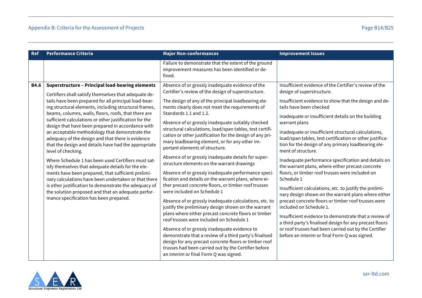| <b>Ref</b>  | <b>Performance Criteria</b>                                                                                                                                                                                                                                                                                                                                                                                                                                                                                                                                                                                                                                                                                                                                                                                                                                                                                                                                                        | <b>Major Non-conformances</b>                                                                                                                                                                                                                                                                                                                                                                                                                                                                                                                                                                                                                                                                                                                                                                                                                                                                                                                                                                                                                                                                                                                                                                                                                                                                                     | <b>Improvement Issues</b>                                                                                                                                                                                                                                                                                                                                                                                                                                                                                                                                                                                                                                                                                                                                                                                                                                                                                                                                                                                                                                    |
|-------------|------------------------------------------------------------------------------------------------------------------------------------------------------------------------------------------------------------------------------------------------------------------------------------------------------------------------------------------------------------------------------------------------------------------------------------------------------------------------------------------------------------------------------------------------------------------------------------------------------------------------------------------------------------------------------------------------------------------------------------------------------------------------------------------------------------------------------------------------------------------------------------------------------------------------------------------------------------------------------------|-------------------------------------------------------------------------------------------------------------------------------------------------------------------------------------------------------------------------------------------------------------------------------------------------------------------------------------------------------------------------------------------------------------------------------------------------------------------------------------------------------------------------------------------------------------------------------------------------------------------------------------------------------------------------------------------------------------------------------------------------------------------------------------------------------------------------------------------------------------------------------------------------------------------------------------------------------------------------------------------------------------------------------------------------------------------------------------------------------------------------------------------------------------------------------------------------------------------------------------------------------------------------------------------------------------------|--------------------------------------------------------------------------------------------------------------------------------------------------------------------------------------------------------------------------------------------------------------------------------------------------------------------------------------------------------------------------------------------------------------------------------------------------------------------------------------------------------------------------------------------------------------------------------------------------------------------------------------------------------------------------------------------------------------------------------------------------------------------------------------------------------------------------------------------------------------------------------------------------------------------------------------------------------------------------------------------------------------------------------------------------------------|
|             |                                                                                                                                                                                                                                                                                                                                                                                                                                                                                                                                                                                                                                                                                                                                                                                                                                                                                                                                                                                    | Failure to demonstrate that the extent of the ground<br>improvement measures has been identified or de-<br>fined.                                                                                                                                                                                                                                                                                                                                                                                                                                                                                                                                                                                                                                                                                                                                                                                                                                                                                                                                                                                                                                                                                                                                                                                                 |                                                                                                                                                                                                                                                                                                                                                                                                                                                                                                                                                                                                                                                                                                                                                                                                                                                                                                                                                                                                                                                              |
| <b>B4.6</b> | <b>Superstructure - Principal load-bearing elements</b><br>Certifiers shall satisfy themselves that adequate de-<br>tails have been prepared for all principal load-bear-<br>ing structural elements, including structural frames,<br>beams, columns, walls, floors, roofs, that there are<br>sufficient calculations or other justification for the<br>design that have been prepared in accordance with<br>an acceptable methodology that demonstrate the<br>adequacy of the design and that there is evidence<br>that the design and details have had the appropriate<br>level of checking.<br>Where Schedule 1 has been used Certifiers must sat-<br>isfy themselves that adequate details for the ele-<br>ments have been prepared, that sufficient prelimi-<br>nary calculations have been undertaken or that there<br>is other justification to demonstrate the adequacy of<br>the solution proposed and that an adequate perfor-<br>mance specification has been prepared. | Absence of or grossly inadequate evidence of the<br>Certifier's review of the design of superstructure.<br>The design of any of the principal loadbearing ele-<br>ments clearly does not meet the requirements of<br>Standards 1.1 and 1.2.<br>Absence of or grossly inadequate suitably checked<br>structural calculations, load/span tables, test certifi-<br>cation or other justification for the design of any pri-<br>mary loadbearing element, or for any other im-<br>portant elements of structure.<br>Absence of or grossly inadequate details for super-<br>structure elements on the warrant drawings<br>Absence of or grossly inadequate performance speci-<br>fication and details on the warrant plans, where ei-<br>ther precast concrete floors, or timber roof trusses<br>were included on Schedule 1<br>Absence of or grossly inadequate calculations, etc. to<br>justify the preliminary design shown on the warrant<br>plans where either precast concrete floors or timber<br>roof trusses were included on Schedule 1<br>Absence of or grossly inadequate evidence to<br>demonstrate that a review of a third party's finalised<br>design for any precast concrete floors or timber roof<br>trusses had been carried out by the Certifier before<br>an interim or final Form Q was signed. | Insufficient evidence of the Certifier's review of the<br>design of superstructure.<br>Insufficient evidence to show that the design and de-<br>tails have been checked<br>Inadequate or insufficient details on the building<br>warrant plans<br>Inadequate or insufficient structural calculations,<br>load/span tables, test certification or other justifica-<br>tion for the design of any primary loadbearing ele-<br>ment of structure.<br>Inadequate performance specification and details on<br>the warrant plans, where either precast concrete<br>floors, or timber roof trusses were included on<br>Schedule 1<br>Insufficient calculations, etc. to justify the prelimi-<br>nary design shown on the warrant plans where either<br>precast concrete floors or timber roof trusses were<br>included on Schedule 1.<br>Insufficient evidence to demonstrate that a review of<br>a third party's finalised design for any precast floors<br>or roof trusses had been carried out by the Certifier<br>before an interim or final Form Q was signed. |

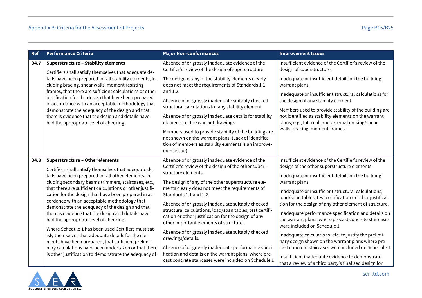| Ref         | <b>Performance Criteria</b>                                                                                                                                                                                                   | <b>Major Non-conformances</b>                                                                                                                                                                                  | <b>Improvement Issues</b>                                                                                                                                             |
|-------------|-------------------------------------------------------------------------------------------------------------------------------------------------------------------------------------------------------------------------------|----------------------------------------------------------------------------------------------------------------------------------------------------------------------------------------------------------------|-----------------------------------------------------------------------------------------------------------------------------------------------------------------------|
| <b>B4.7</b> | <b>Superstructure - Stability elements</b><br>Certifiers shall satisfy themselves that adequate de-                                                                                                                           | Absence of or grossly inadequate evidence of the<br>Certifier's review of the design of superstructure.                                                                                                        | Insufficient evidence of the Certifier's review of the<br>design of superstructure.                                                                                   |
|             | tails have been prepared for all stability elements, in-<br>cluding bracing, shear walls, moment resisting<br>frames, that there are sufficient calculations or other<br>justification for the design that have been prepared | The design of any of the stability elements clearly<br>does not meet the requirements of Standards 1.1<br>and 1.2.                                                                                             | Inadequate or insufficient details on the building<br>warrant plans.<br>Inadequate or insufficient structural calculations for                                        |
|             | in accordance with an acceptable methodology that<br>demonstrate the adequacy of the design and that                                                                                                                          | Absence of or grossly inadequate suitably checked<br>structural calculations for any stability element.                                                                                                        | the design of any stability element.<br>Members used to provide stability of the building are                                                                         |
|             | there is evidence that the design and details have<br>had the appropriate level of checking.                                                                                                                                  | Absence of or grossly inadequate details for stability<br>elements on the warrant drawings                                                                                                                     | not identified as stability elements on the warrant<br>plans, e.g., Internal, and external racking/shear                                                              |
|             |                                                                                                                                                                                                                               | Members used to provide stability of the building are<br>not shown on the warrant plans. (Lack of identifica-<br>tion of members as stability elements is an improve-<br>ment issue)                           | walls, bracing, moment-frames.                                                                                                                                        |
| <b>B4.8</b> | <b>Superstructure - Other elements</b>                                                                                                                                                                                        | Absence of or grossly inadequate evidence of the<br>Certifier's review of the design of the other super-                                                                                                       | Insufficient evidence of the Certifier's review of the<br>design of the other superstructure elements.                                                                |
|             | Certifiers shall satisfy themselves that adequate de-<br>tails have been prepared for all other elements, in-<br>cluding secondary beams trimmers, staircases, etc.,                                                          | structure elements.<br>The design of any of the other superstructure ele-                                                                                                                                      | Inadequate or insufficient details on the building<br>warrant plans                                                                                                   |
|             | that there are sufficient calculations or other justifi-<br>cation for the design that have been prepared in ac-                                                                                                              | ments clearly does not meet the requirements of<br>Standards 1.1 and 1.2.                                                                                                                                      | Inadequate or insufficient structural calculations,<br>load/span tables, test certification or other justifica-                                                       |
|             | cordance with an acceptable methodology that<br>demonstrate the adequacy of the design and that<br>there is evidence that the design and details have<br>had the appropriate level of checking.                               | Absence of or grossly inadequate suitably checked<br>structural calculations, load/span tables, test certifi-<br>cation or other justification for the design of any<br>other important elements of structure. | tion for the design of any other element of structure.<br>Inadequate performance specification and details on<br>the warrant plans, where precast concrete staircases |
|             | Where Schedule 1 has been used Certifiers must sat-<br>isfy themselves that adequate details for the ele-<br>ments have been prepared, that sufficient prelimi-                                                               | Absence of or grossly inadequate suitably checked<br>drawings/details.                                                                                                                                         | were included on Schedule 1<br>Inadequate calculations, etc. to justify the prelimi-<br>nary design shown on the warrant plans where pre-                             |
|             | nary calculations have been undertaken or that there<br>is other justification to demonstrate the adequacy of                                                                                                                 | Absence of or grossly inadequate performance speci-<br>fication and details on the warrant plans, where pre-<br>cast concrete staircases were included on Schedule 1                                           | cast concrete staircases were included on Schedule 1<br>Insufficient inadequate evidence to demonstrate<br>that a review of a third party's finalised design for      |

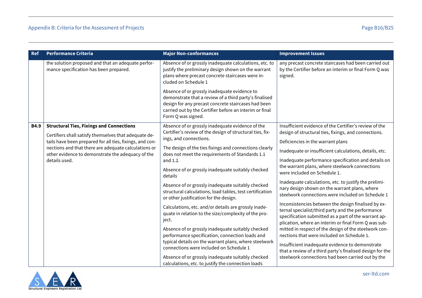| <b>Ref</b>  | <b>Performance Criteria</b>                                                                               | <b>Major Non-conformances</b>                                                                                                                                                                                                                  | <b>Improvement Issues</b>                                                                                                                                                                                                |
|-------------|-----------------------------------------------------------------------------------------------------------|------------------------------------------------------------------------------------------------------------------------------------------------------------------------------------------------------------------------------------------------|--------------------------------------------------------------------------------------------------------------------------------------------------------------------------------------------------------------------------|
|             | the solution proposed and that an adequate perfor-<br>mance specification has been prepared.              | Absence of or grossly inadequate calculations, etc. to<br>justify the preliminary design shown on the warrant<br>plans where precast concrete staircases were in-<br>cluded on Schedule 1                                                      | any precast concrete staircases had been carried out<br>by the Certifier before an interim or final Form Q was<br>signed.                                                                                                |
|             |                                                                                                           | Absence of or grossly inadequate evidence to<br>demonstrate that a review of a third party's finalised<br>design for any precast concrete staircases had been<br>carried out by the Certifier before an interim or final<br>Form Q was signed. |                                                                                                                                                                                                                          |
| <b>B4.9</b> | <b>Structural Ties, Fixings and Connections</b>                                                           | Absence of or grossly inadequate evidence of the                                                                                                                                                                                               | Insufficient evidence of the Certifier's review of the                                                                                                                                                                   |
|             | Certifiers shall satisfy themselves that adequate de-                                                     | Certifier's review of the design of structural ties, fix-<br>ings, and connections.                                                                                                                                                            | design of structural ties, fixings, and connections.                                                                                                                                                                     |
|             | tails have been prepared for all ties, fixings, and con-                                                  |                                                                                                                                                                                                                                                | Deficiencies in the warrant plans                                                                                                                                                                                        |
|             | nections and that there are adequate calculations or<br>other evidence to demonstrate the adequacy of the | The design of the ties fixings and connections clearly<br>does not meet the requirements of Standards 1.1                                                                                                                                      | Inadequate or insufficient calculations, details, etc.                                                                                                                                                                   |
|             | details used.                                                                                             | and 1.2.                                                                                                                                                                                                                                       | Inadequate performance specification and details on                                                                                                                                                                      |
|             |                                                                                                           | Absence of or grossly inadequate suitably checked<br>details                                                                                                                                                                                   | the warrant plans, where steelwork connections<br>were included on Schedule 1.                                                                                                                                           |
|             |                                                                                                           | Absence of or grossly inadequate suitably checked<br>structural calculations, load tables, test certification<br>or other justification for the design.                                                                                        | Inadequate calculations, etc. to justify the prelimi-<br>nary design shown on the warrant plans, where<br>steelwork connections were included on Schedule 1                                                              |
|             |                                                                                                           | Calculations, etc. and/or details are grossly inade-<br>quate in relation to the size/complexity of the pro-<br>ject.                                                                                                                          | Inconsistencies between the design finalised by ex-<br>ternal specialist/third party and the performance<br>specification submitted as a part of the warrant ap-<br>plication, where an interim or final Form Q was sub- |
|             |                                                                                                           | Absence of or grossly inadequate suitably checked                                                                                                                                                                                              | mitted in respect of the design of the steelwork con-                                                                                                                                                                    |
|             |                                                                                                           | performance specification, connection loads and                                                                                                                                                                                                | nections that were included on Schedule 1.                                                                                                                                                                               |
|             |                                                                                                           | typical details on the warrant plans, where steelwork<br>connections were included on Schedule 1                                                                                                                                               | Insufficient inadequate evidence to demonstrate<br>that a review of a third party's finalised design for the                                                                                                             |
|             |                                                                                                           | Absence of or grossly inadequate suitably checked                                                                                                                                                                                              | steelwork connections had been carried out by the                                                                                                                                                                        |
|             |                                                                                                           | calculations, etc. to justify the connection loads                                                                                                                                                                                             |                                                                                                                                                                                                                          |

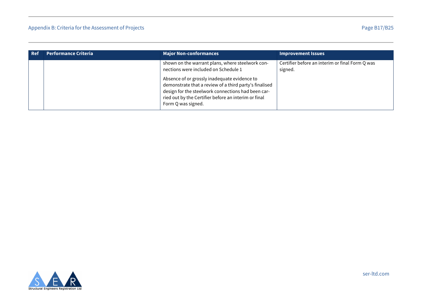| Ref | <b>Performance Criteria</b> | <b>Major Non-conformances</b>                                                                                                                                                                                                                                                                                                          | <b>Improvement Issues</b>                                  |
|-----|-----------------------------|----------------------------------------------------------------------------------------------------------------------------------------------------------------------------------------------------------------------------------------------------------------------------------------------------------------------------------------|------------------------------------------------------------|
|     |                             | shown on the warrant plans, where steelwork con-<br>nections were included on Schedule 1<br>Absence of or grossly inadequate evidence to<br>demonstrate that a review of a third party's finalised<br>design for the steelwork connections had been car-<br>ried out by the Certifier before an interim or final<br>Form Q was signed. | Certifier before an interim or final Form Q was<br>signed. |

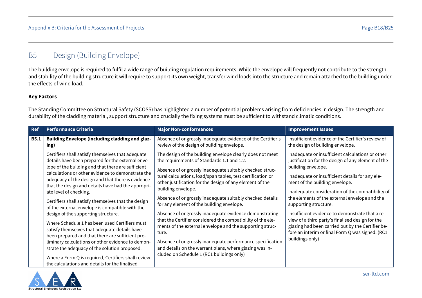# <span id="page-48-0"></span>B5 Design (Building Envelope)

The building envelope is required to fulfil a wide range of building regulation requirements. While the envelope will frequently not contribute to the strength and stability of the building structure it will require to support its own weight, transfer wind loads into the structure and remain attached to the building under the effects of wind load.

#### **Key Factors**

The Standing Committee on Structural Safety (SCOSS) has highlighted a number of potential problems arising from deficiencies in design. The strength and durability of the cladding material, support structure and crucially the fixing systems must be sufficient to withstand climatic conditions.

| Ref         | <b>Performance Criteria</b>                                                                             | <b>Major Non-conformances</b>                                                                                           | <b>Improvement Issues</b>                                                                              |
|-------------|---------------------------------------------------------------------------------------------------------|-------------------------------------------------------------------------------------------------------------------------|--------------------------------------------------------------------------------------------------------|
| <b>B5.1</b> | Building Envelope (including cladding and glaz-<br>ing)                                                 | Absence of or grossly inadequate evidence of the Certifier's<br>review of the design of building envelope.              | Insufficient evidence of the Certifier's review of<br>the design of building envelope.                 |
|             | Certifiers shall satisfy themselves that adequate<br>details have been prepared for the external enve-  | The design of the building envelope clearly does not meet<br>the requirements of Standards 1.1 and 1.2.                 | Inadequate or insufficient calculations or other<br>justification for the design of any element of the |
|             | lope of the building and that there are sufficient<br>calculations or other evidence to demonstrate the | Absence of or grossly inadequate suitably checked struc-                                                                | building envelope.                                                                                     |
|             | adequacy of the design and that there is evidence<br>that the design and details have had the appropri- | tural calculations, load/span tables, test certification or<br>other justification for the design of any element of the | Inadequate or insufficient details for any ele-<br>ment of the building envelope.                      |
|             | ate level of checking.                                                                                  | building envelope.                                                                                                      | Inadequate consideration of the compatibility of                                                       |
|             | Certifiers shall satisfy themselves that the design                                                     | Absence of or grossly inadequate suitably checked details<br>for any element of the building envelope.                  | the elements of the external envelope and the<br>supporting structure.                                 |
|             | of the external envelope is compatible with the<br>design of the supporting structure.                  | Absence of or grossly inadequate evidence demonstrating                                                                 | Insufficient evidence to demonstrate that a re-                                                        |
|             | Where Schedule 1 has been used Certifiers must<br>satisfy themselves that adequate details have         | that the Certifier considered the compatibility of the ele-<br>ments of the external envelope and the supporting struc- | view of a third party's finalised design for the<br>glazing had been carried out by the Certifier be-  |
|             | been prepared and that there are sufficient pre-                                                        | ture.                                                                                                                   | fore an interim or final Form Q was signed. (RC1<br>buildings only)                                    |
|             | liminary calculations or other evidence to demon-                                                       | Absence of or grossly inadequate performance specification                                                              |                                                                                                        |
|             | strate the adequacy of the solution proposed.                                                           | and details on the warrant plans, where glazing was in-                                                                 |                                                                                                        |
|             | Where a Form Q is required, Certifiers shall review                                                     | cluded on Schedule 1 (RC1 buildings only)                                                                               |                                                                                                        |
|             | the calculations and details for the finalised                                                          |                                                                                                                         |                                                                                                        |

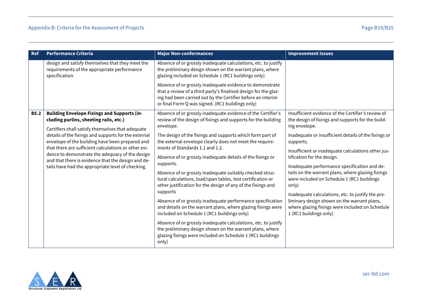| <b>Ref</b>  | <b>Performance Criteria</b>                                                                                                                                     | <b>Major Non-conformances</b>                                                                                                                                                                                                                  | <b>Improvement Issues</b>                                                                                                |
|-------------|-----------------------------------------------------------------------------------------------------------------------------------------------------------------|------------------------------------------------------------------------------------------------------------------------------------------------------------------------------------------------------------------------------------------------|--------------------------------------------------------------------------------------------------------------------------|
|             | design and satisfy themselves that they meet the<br>requirements of the appropriate performance<br>specification.                                               | Absence of or grossly inadequate calculations, etc. to justify<br>the preliminary design shown on the warrant plans, where<br>glazing included on Schedule 1 (RC1 buildings only)                                                              |                                                                                                                          |
|             |                                                                                                                                                                 | Absence of or grossly inadequate evidence to demonstrate<br>that a review of a third party's finalised design for the glaz-<br>ing had been carried out by the Certifier before an interim<br>or final Form Q was signed. (RC1 buildings only) |                                                                                                                          |
| <b>B5.2</b> | <b>Building Envelope Fixings and Supports (in-</b><br>cluding purlins, sheeting rails, etc.)<br>Certifiers shall satisfy themselves that adequate               | Absence of or grossly inadequate evidence of the Certifier's<br>review of the design of fixings and supports for the building<br>envelope.                                                                                                     | Insufficient evidence of the Certifier's review of<br>the design of fixings and supports for the build-<br>ing envelope. |
|             | details of the fixings and supports for the external<br>envelope of the building have been prepared and<br>that there are sufficient calculations or other evi- | The design of the fixings and supports which form part of<br>the external envelope clearly does not meet the require-<br>ments of Standards 1.1 and 1.2.                                                                                       | Inadequate or insufficient details of the fixings or<br>supports.<br>Insufficient or inadequate calculations other jus-  |
|             | dence to demonstrate the adequacy of the design<br>and that there is evidence that the design and de-<br>tails have had the appropriate level of checking.      | Absence of or grossly inadequate details of the fixings or<br>supports.                                                                                                                                                                        | tification for the design.<br>Inadequate performance specification and de-                                               |
|             |                                                                                                                                                                 | Absence of or grossly inadequate suitably checked struc-<br>tural calculations, load/span tables, test certification or<br>other justification for the design of any of the fixings and                                                        | tails on the warrant plans, where glazing fixings<br>were included on Schedule 1 (RC1 buildings<br>only)                 |
|             |                                                                                                                                                                 | supports                                                                                                                                                                                                                                       | Inadequate calculations, etc. to justify the pre-                                                                        |
|             |                                                                                                                                                                 | Absence of or grossly inadequate performance specification<br>and details on the warrant plans, where glazing fixings were<br>included on Schedule 1 (RC1 buildings only)                                                                      | liminary design shown on the warrant plans,<br>where glazing fixings were included on Schedule<br>1 (RC1 buildings only) |
|             |                                                                                                                                                                 | Absence of or grossly inadequate calculations, etc. to justify<br>the preliminary design shown on the warrant plans, where<br>glazing fixings were included on Schedule 1 (RC1 buildings<br>only)                                              |                                                                                                                          |

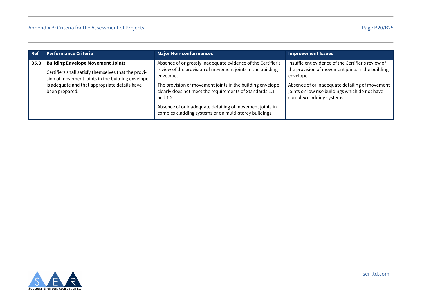| <b>Ref</b>  | <b>Performance Criteria</b>                                                                                                                                                                                            | <b>Major Non-conformances</b>                                                                                                                                                                                                                                                                                                                                                                     | <b>Improvement Issues</b>                                                                                                                                                                                                                            |
|-------------|------------------------------------------------------------------------------------------------------------------------------------------------------------------------------------------------------------------------|---------------------------------------------------------------------------------------------------------------------------------------------------------------------------------------------------------------------------------------------------------------------------------------------------------------------------------------------------------------------------------------------------|------------------------------------------------------------------------------------------------------------------------------------------------------------------------------------------------------------------------------------------------------|
| <b>B5.3</b> | <b>Building Envelope Movement Joints</b><br>Certifiers shall satisfy themselves that the provi-<br>sion of movement joints in the building envelope<br>is adequate and that appropriate details have<br>been prepared. | Absence of or grossly inadequate evidence of the Certifier's<br>review of the provision of movement joints in the building<br>envelope.<br>The provision of movement joints in the building envelope<br>clearly does not meet the requirements of Standards 1.1<br>and 1.2.<br>Absence of or inadequate detailing of movement joints in<br>complex cladding systems or on multi-storey buildings. | Insufficient evidence of the Certifier's review of<br>the provision of movement joints in the building<br>envelope.<br>Absence of or inadequate detailing of movement<br>joints on low rise buildings which do not have<br>complex cladding systems. |

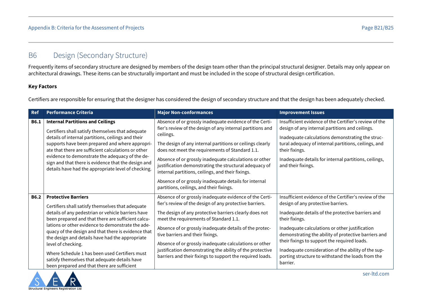# <span id="page-51-0"></span>B6 Design (Secondary Structure)

Frequently items of secondary structure are designed by members of the design team other than the principal structural designer. Details may only appear on architectural drawings. These items can be structurally important and must be included in the scope of structural design certification.

#### **Key Factors**

Certifiers are responsible for ensuring that the designer has considered the design of secondary structure and that the design has been adequately checked.

| <b>Ref</b>  | <b>Performance Criteria</b>                                                                                                                                                                                                                                                                                                                                                                                                                                                                                                        | <b>Major Non-conformances</b>                                                                                                                                                                                                                                                                                                                                                                                                                                                                                                    | <b>Improvement Issues</b>                                                                                                                                                                                                                                                                                                                                                                                                                             |
|-------------|------------------------------------------------------------------------------------------------------------------------------------------------------------------------------------------------------------------------------------------------------------------------------------------------------------------------------------------------------------------------------------------------------------------------------------------------------------------------------------------------------------------------------------|----------------------------------------------------------------------------------------------------------------------------------------------------------------------------------------------------------------------------------------------------------------------------------------------------------------------------------------------------------------------------------------------------------------------------------------------------------------------------------------------------------------------------------|-------------------------------------------------------------------------------------------------------------------------------------------------------------------------------------------------------------------------------------------------------------------------------------------------------------------------------------------------------------------------------------------------------------------------------------------------------|
| <b>B6.1</b> | <b>Internal Partitions and Ceilings</b><br>Certifiers shall satisfy themselves that adequate<br>details of internal partitions, ceilings and their<br>supports have been prepared and where appropri-<br>ate that there are sufficient calculations or other<br>evidence to demonstrate the adequacy of the de-<br>sign and that there is evidence that the design and<br>details have had the appropriate level of checking.                                                                                                      | Absence of or grossly inadequate evidence of the Certi-<br>fier's review of the design of any internal partitions and<br>ceilings.<br>The design of any internal partitions or ceilings clearly<br>does not meet the requirements of Standard 1.1.<br>Absence of or grossly inadequate calculations or other<br>justification demonstrating the structural adequacy of<br>internal partitions, ceilings, and their fixings.<br>Absence of or grossly inadequate details for internal<br>partitions, ceilings, and their fixings. | Insufficient evidence of the Certifier's review of the<br>design of any internal partitions and ceilings.<br>Inadequate calculations demonstrating the struc-<br>tural adequacy of internal partitions, ceilings, and<br>their fixings.<br>Inadequate details for internal partitions, ceilings,<br>and their fixings.                                                                                                                                |
| <b>B6.2</b> | <b>Protective Barriers</b><br>Certifiers shall satisfy themselves that adequate<br>details of any pedestrian or vehicle barriers have<br>been prepared and that there are sufficient calcu-<br>lations or other evidence to demonstrate the ade-<br>quacy of the design and that there is evidence that<br>the design and details have had the appropriate<br>level of checking.<br>Where Schedule 1 has been used Certifiers must<br>satisfy themselves that adequate details have<br>been prepared and that there are sufficient | Absence of or grossly inadequate evidence of the Certi-<br>fier's review of the design of any protective barriers.<br>The design of any protective barriers clearly does not<br>meet the requirements of Standard 1.1.<br>Absence of or grossly inadequate details of the protec-<br>tive barriers and their fixings.<br>Absence of or grossly inadequate calculations or other<br>justification demonstrating the ability of the protective<br>barriers and their fixings to support the required loads.                        | Insufficient evidence of the Certifier's review of the<br>design of any protective barriers.<br>Inadequate details of the protective barriers and<br>their fixings.<br>Inadequate calculations or other justification<br>demonstrating the ability of protective barriers and<br>their fixings to support the required loads.<br>Inadequate consideration of the ability of the sup-<br>porting structure to withstand the loads from the<br>barrier. |

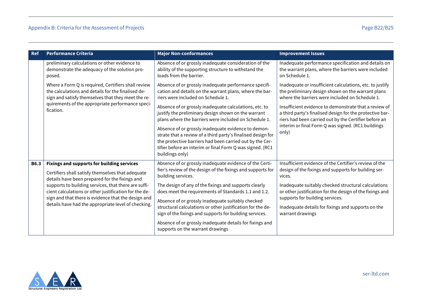| <b>Ref</b>  | <b>Performance Criteria</b>                                                                                                                                     | <b>Major Non-conformances</b>                                                                                                                                                                                                                                   | <b>Improvement Issues</b>                                                                                                                                                  |
|-------------|-----------------------------------------------------------------------------------------------------------------------------------------------------------------|-----------------------------------------------------------------------------------------------------------------------------------------------------------------------------------------------------------------------------------------------------------------|----------------------------------------------------------------------------------------------------------------------------------------------------------------------------|
|             | preliminary calculations or other evidence to<br>demonstrate the adequacy of the solution pro-<br>posed.                                                        | Absence of or grossly inadequate consideration of the<br>ability of the supporting structure to withstand the<br>loads from the barrier.                                                                                                                        | Inadequate performance specification and details on<br>the warrant plans, where the barriers were included<br>on Schedule 1.                                               |
|             | Where a Form Q is required, Certifiers shall review<br>the calculations and details for the finalised de-<br>sign and satisfy themselves that they meet the re- | Absence of or grossly inadequate performance specifi-<br>cation and details on the warrant plans, where the bar-<br>riers were included on Schedule 1.                                                                                                          | Inadequate or insufficient calculations, etc. to justify<br>the preliminary design shown on the warrant plans<br>where the barriers were included on Schedule 1.           |
|             | quirements of the appropriate performance speci-<br>fication.                                                                                                   | Absence of or grossly inadequate calculations, etc. to<br>justify the preliminary design shown on the warrant<br>plans where the barriers were included on Schedule 1.                                                                                          | Insufficient evidence to demonstrate that a review of<br>a third party's finalised design for the protective bar-<br>riers had been carried out by the Certifier before an |
|             |                                                                                                                                                                 | Absence of or grossly inadequate evidence to demon-<br>strate that a review of a third party's finalised design for<br>the protective barriers had been carried out by the Cer-<br>tifier before an interim or final Form Q was signed. (RC1<br>buildings only) | interim or final Form Q was signed. (RC1 buildings<br>only)                                                                                                                |
| <b>B6.3</b> | <b>Fixings and supports for building services</b>                                                                                                               | Absence of or grossly inadequate evidence of the Certi-                                                                                                                                                                                                         | Insufficient evidence of the Certifier's review of the                                                                                                                     |
|             | Certifiers shall satisfy themselves that adequate<br>details have been prepared for the fixings and                                                             | fier's review of the design of the fixings and supports for<br>building services.                                                                                                                                                                               | design of the fixings and supports for building ser-<br>vices.                                                                                                             |
|             | supports to building services, that there are suffi-<br>cient calculations or other justification for the de-                                                   | The design of any of the fixings and supports clearly<br>does meet the requirements of Standards 1.1 and 1.2.                                                                                                                                                   | Inadequate suitably checked structural calculations<br>or other justification for the design of the fixings and                                                            |
|             | sign and that there is evidence that the design and<br>details have had the appropriate level of checking.                                                      | Absence of or grossly inadequate suitably checked                                                                                                                                                                                                               | supports for building services.                                                                                                                                            |
|             |                                                                                                                                                                 | structural calculations or other justification for the de-<br>sign of the fixings and supports for building services.                                                                                                                                           | Inadequate details for fixings and supports on the<br>warrant drawings                                                                                                     |
|             |                                                                                                                                                                 | Absence of or grossly inadequate details for fixings and<br>supports on the warrant drawings                                                                                                                                                                    |                                                                                                                                                                            |

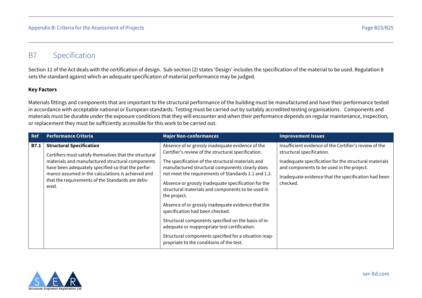# <span id="page-53-0"></span>B7 Specification

Section 11 of the Act deals with the certification of design. Sub-section (2) states 'Design' includes the specification of the material to be used. Regulation 8 sets the standard against which an adequate specification of material performance may be judged.

#### **Key Factors**

Materials fittings and components that are important to the structural performance of the building must be manufactured and have their performance tested in accordance with acceptable national or European standards. Testing must be carried out by suitably accredited testing organisations. Components and materials must be durable under the exposure conditions that they will encounter and when their performance depends on regular maintenance, inspection, or replacement they must be sufficiently accessible for this work to be carried out.

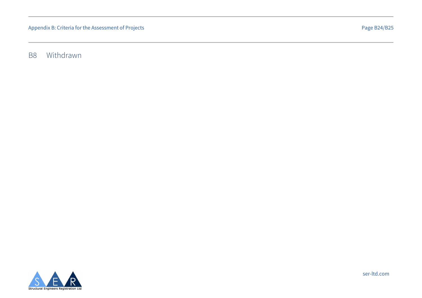<span id="page-54-0"></span>B8 Withdrawn